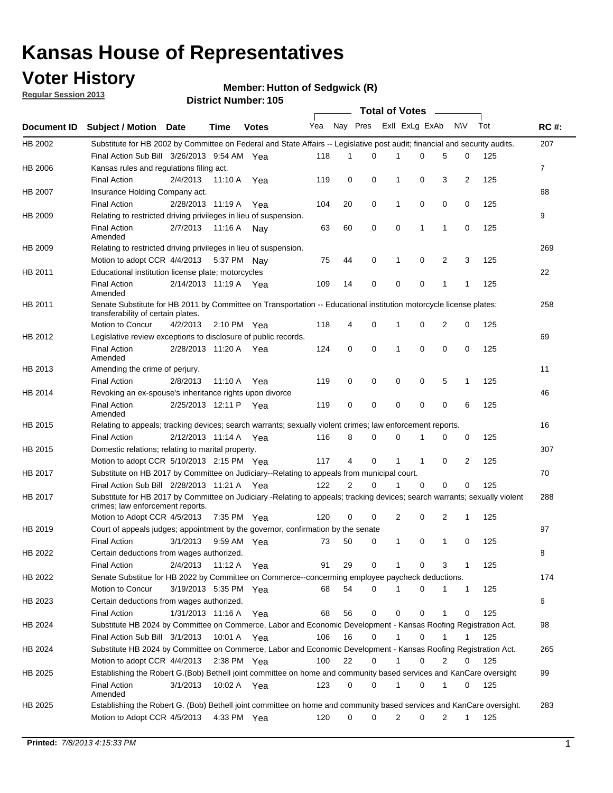### **Voter History**

**Member: Hutton of Sedgwick (R)** 

**Regular Session 2013**

|                    |                                                                                                                                                                |                       |                       | טטו דיסטוווטנו שטוש |              |                | Total of Votes – |              |                |   |              |     |              |
|--------------------|----------------------------------------------------------------------------------------------------------------------------------------------------------------|-----------------------|-----------------------|---------------------|--------------|----------------|------------------|--------------|----------------|---|--------------|-----|--------------|
| <b>Document ID</b> | <b>Subject / Motion Date</b>                                                                                                                                   |                       | <b>Time</b>           | <b>Votes</b>        | Yea Nay Pres |                |                  |              | Exll ExLg ExAb |   | <b>NV</b>    | Tot | <b>RC#:</b>  |
| HB 2002            | Substitute for HB 2002 by Committee on Federal and State Affairs -- Legislative post audit; financial and security audits.                                     |                       |                       |                     |              |                |                  |              |                |   |              |     | 207          |
|                    | Final Action Sub Bill 3/26/2013 9:54 AM Yea                                                                                                                    |                       |                       |                     | 118          | 1              | $\Omega$         |              | 0              | 5 | 0            | 125 |              |
| HB 2006            | Kansas rules and regulations filing act.                                                                                                                       |                       |                       |                     |              |                |                  |              |                |   |              |     | $\mathbf{7}$ |
|                    | <b>Final Action</b>                                                                                                                                            | 2/4/2013              | 11:10 A               | Yea                 | 119          | 0              | 0                | 1            | 0              | 3 | 2            | 125 |              |
| HB 2007            | Insurance Holding Company act.                                                                                                                                 |                       |                       |                     |              |                |                  |              |                |   |              |     | 68           |
|                    | <b>Final Action</b>                                                                                                                                            | 2/28/2013 11:19 A     |                       | Yea                 | 104          | 20             | 0                | 1            | 0              | 0 | 0            | 125 |              |
| HB 2009            | Relating to restricted driving privileges in lieu of suspension.                                                                                               |                       |                       |                     |              |                |                  |              |                |   |              |     | 9            |
|                    | <b>Final Action</b><br>Amended                                                                                                                                 | 2/7/2013              | 11:16 A Nay           |                     | 63           | 60             | 0                | 0            | 1              | 1 | 0            | 125 |              |
| HB 2009            | Relating to restricted driving privileges in lieu of suspension.                                                                                               |                       |                       |                     |              |                |                  |              |                |   |              |     | 269          |
|                    | Motion to adopt CCR 4/4/2013                                                                                                                                   |                       | 5:37 PM Nav           |                     | 75           | 44             | 0                | 1            | 0              | 2 | 3            | 125 |              |
| HB 2011            | Educational institution license plate; motorcycles                                                                                                             |                       |                       |                     |              |                |                  |              |                |   |              |     | 22           |
|                    | <b>Final Action</b><br>Amended                                                                                                                                 |                       | 2/14/2013 11:19 A Yea |                     | 109          | 14             | 0                | 0            | 0              | 1 | 1            | 125 |              |
| HB 2011            | Senate Substitute for HB 2011 by Committee on Transportation -- Educational institution motorcycle license plates;                                             |                       |                       |                     |              |                |                  |              |                |   |              |     | 258          |
|                    | transferability of certain plates.                                                                                                                             |                       |                       |                     |              |                |                  |              |                |   |              |     |              |
|                    | Motion to Concur                                                                                                                                               | 4/2/2013              | 2:10 PM $Yea$         |                     | 118          | 4              | 0                | 1            | 0              | 2 | 0            | 125 |              |
| HB 2012            | Legislative review exceptions to disclosure of public records.                                                                                                 |                       |                       |                     |              |                |                  |              |                |   |              |     | 69           |
|                    | <b>Final Action</b><br>Amended                                                                                                                                 | 2/28/2013 11:20 A Yea |                       |                     | 124          | 0              | 0                | 1            | 0              | 0 | 0            | 125 |              |
| HB 2013            | Amending the crime of perjury.                                                                                                                                 |                       |                       |                     |              |                |                  |              |                |   |              |     | 11           |
|                    | <b>Final Action</b>                                                                                                                                            | 2/8/2013              | 11:10 A               | Yea                 | 119          | 0              | 0                | 0            | 0              | 5 | 1            | 125 |              |
| HB 2014            | Revoking an ex-spouse's inheritance rights upon divorce                                                                                                        |                       |                       |                     |              |                |                  |              |                |   |              |     | 46           |
|                    | <b>Final Action</b><br>Amended                                                                                                                                 |                       | 2/25/2013 12:11 P Yea |                     | 119          | 0              | 0                | 0            | 0              | 0 | 6            | 125 |              |
| HB 2015            | Relating to appeals; tracking devices; search warrants; sexually violent crimes; law enforcement reports.                                                      |                       |                       |                     |              |                |                  |              |                |   |              |     | 16           |
|                    | <b>Final Action</b>                                                                                                                                            |                       | 2/12/2013 11:14 A     | Yea                 | 116          | 8              | 0                | 0            | 1              | 0 | 0            | 125 |              |
| HB 2015            | Domestic relations; relating to marital property.                                                                                                              |                       |                       |                     |              |                |                  |              |                |   |              |     | 307          |
|                    | Motion to adopt CCR 5/10/2013 2:15 PM Yea                                                                                                                      |                       |                       |                     | 117          | 4              | 0                | $\mathbf{1}$ | $\mathbf{1}$   | 0 | 2            | 125 |              |
| HB 2017            | Substitute on HB 2017 by Committee on Judiciary--Relating to appeals from municipal court.                                                                     |                       |                       |                     |              |                |                  |              |                |   |              |     | 70           |
|                    | Final Action Sub Bill 2/28/2013 11:21 A Yea                                                                                                                    |                       |                       |                     | 122          | $\overline{2}$ | 0                | 1            | 0              | 0 | 0            | 125 |              |
| HB 2017            | Substitute for HB 2017 by Committee on Judiciary -Relating to appeals; tracking devices; search warrants; sexually violent<br>crimes; law enforcement reports. |                       |                       |                     |              |                |                  |              |                |   |              |     | 288          |
|                    | Motion to Adopt CCR 4/5/2013                                                                                                                                   |                       | 7:35 PM Yea           |                     | 120          | 0              | 0                | 2            | 0              | 2 | 1            | 125 |              |
| HB 2019            | Court of appeals judges; appointment by the governor, confirmation by the senate                                                                               |                       |                       |                     |              |                |                  |              |                |   |              |     | 97           |
|                    | <b>Final Action</b>                                                                                                                                            | 3/1/2013              | 9:59 AM Yea           |                     | 73           | 50             | 0                | 1            | 0              | 1 | 0            | 125 |              |
| HB 2022            | Certain deductions from wages authorized.                                                                                                                      |                       |                       |                     |              |                |                  |              |                |   |              |     | 8            |
|                    | <b>Final Action</b>                                                                                                                                            | 2/4/2013              | 11:12 A               | Yea                 | 91           | 29             | 0                |              | 0              | 3 | 1            | 125 |              |
| HB 2022            | Senate Substitue for HB 2022 by Committee on Commerce--concerming employee paycheck deductions.                                                                |                       |                       |                     |              |                |                  |              |                |   |              |     | 174          |
|                    | Motion to Concur                                                                                                                                               |                       | 3/19/2013 5:35 PM Yea |                     | 68           | 54             | 0                | 1            | 0              | 1 | $\mathbf{1}$ | 125 |              |
| HB 2023            | Certain deductions from wages authorized.                                                                                                                      |                       |                       |                     |              |                |                  |              |                |   |              |     | 6            |
|                    | <b>Final Action</b>                                                                                                                                            | 1/31/2013 11:16 A     |                       | Yea                 | 68           | 56             | 0                | 0            | 0              | 1 | 0            | 125 |              |
| HB 2024            | Substitute HB 2024 by Committee on Commerce, Labor and Economic Development - Kansas Roofing Registration Act.                                                 |                       |                       |                     |              |                |                  |              |                |   |              |     | 98           |
|                    | Final Action Sub Bill 3/1/2013                                                                                                                                 |                       | 10:01 A               | Yea                 | 106          | 16             | 0                | $\mathbf{1}$ | 0              | 1 | 1            | 125 |              |
| HB 2024            | Substitute HB 2024 by Committee on Commerce, Labor and Economic Development - Kansas Roofing Registration Act.                                                 |                       |                       |                     |              |                |                  |              |                |   |              |     | 265          |
|                    | Motion to adopt CCR 4/4/2013                                                                                                                                   |                       | 2:38 PM $Yea$         |                     | 100          | 22             | 0                | $\mathbf{1}$ | 0              | 2 | 0            | 125 |              |
| HB 2025            | Establishing the Robert G.(Bob) Bethell joint committee on home and community based services and KanCare oversight                                             |                       |                       |                     |              |                |                  |              |                |   |              |     | 99           |
|                    | <b>Final Action</b><br>Amended                                                                                                                                 | 3/1/2013              | 10:02 A Yea           |                     | 123          | 0              | 0                | 1            | 0              | 1 | 0            | 125 |              |
| HB 2025            | Establishing the Robert G. (Bob) Bethell joint committee on home and community based services and KanCare oversight.                                           |                       |                       |                     |              |                |                  |              |                |   |              |     | 283          |
|                    | Motion to Adopt CCR 4/5/2013                                                                                                                                   |                       | 4:33 PM Yea           |                     | 120          | 0              | 0                | 2            | 0              | 2 | $\mathbf{1}$ | 125 |              |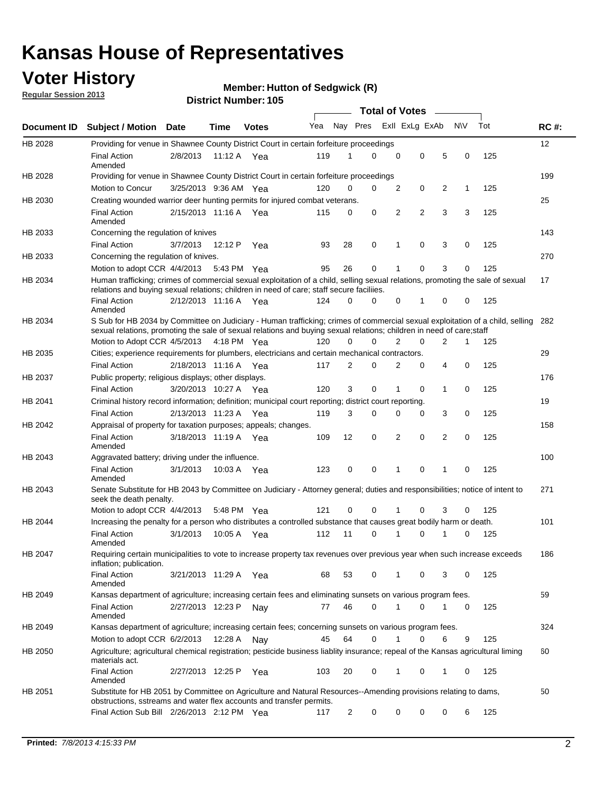### **Voter History**

**Regular Session 2013**

#### **Member: Hutton of Sedgwick (R)**

|                    |                                                                                                                                                                                                                                                        |                       |             |              |     |             | <b>Total of Votes</b> |                |                | $\sim$         |           |     |             |
|--------------------|--------------------------------------------------------------------------------------------------------------------------------------------------------------------------------------------------------------------------------------------------------|-----------------------|-------------|--------------|-----|-------------|-----------------------|----------------|----------------|----------------|-----------|-----|-------------|
| <b>Document ID</b> | Subject / Motion Date                                                                                                                                                                                                                                  |                       | <b>Time</b> | <b>Votes</b> | Yea | Nay Pres    |                       |                | Exll ExLg ExAb |                | <b>NV</b> | Tot | <b>RC#:</b> |
| HB 2028            | Providing for venue in Shawnee County District Court in certain forfeiture proceedings                                                                                                                                                                 |                       |             |              |     |             |                       |                |                |                |           |     | 12          |
|                    | <b>Final Action</b><br>Amended                                                                                                                                                                                                                         | 2/8/2013              | 11:12 A Yea |              | 119 | 1           | $\Omega$              | $\mathbf 0$    | $\mathbf 0$    | 5              | 0         | 125 |             |
| HB 2028            | Providing for venue in Shawnee County District Court in certain forfeiture proceedings                                                                                                                                                                 |                       |             |              |     |             |                       |                |                |                |           |     | 199         |
|                    | Motion to Concur                                                                                                                                                                                                                                       | 3/25/2013 9:36 AM Yea |             |              | 120 | 0           | 0                     | 2              | 0              | 2              | 1         | 125 |             |
| HB 2030            | Creating wounded warrior deer hunting permits for injured combat veterans.                                                                                                                                                                             |                       |             |              |     |             |                       |                |                |                |           |     | 25          |
|                    | <b>Final Action</b><br>Amended                                                                                                                                                                                                                         | 2/15/2013 11:16 A     |             | Yea          | 115 | 0           | 0                     | $\overline{2}$ | 2              | 3              | 3         | 125 |             |
| HB 2033            | Concerning the regulation of knives                                                                                                                                                                                                                    |                       |             |              |     |             |                       |                |                |                |           |     | 143         |
|                    | <b>Final Action</b>                                                                                                                                                                                                                                    | 3/7/2013              | 12:12 P     | Yea          | 93  | 28          | 0                     | 1              | 0              | 3              | 0         | 125 |             |
| HB 2033            | Concerning the regulation of knives.                                                                                                                                                                                                                   |                       |             |              |     |             |                       |                |                |                |           |     | 270         |
|                    | Motion to adopt CCR 4/4/2013                                                                                                                                                                                                                           |                       | 5:43 PM Yea |              | 95  | 26          | 0                     |                | 0              | 3              | 0         | 125 |             |
| HB 2034            | Human trafficking; crimes of commercial sexual exploitation of a child, selling sexual relations, promoting the sale of sexual<br>relations and buying sexual relations; children in need of care; staff secure faciliies.                             |                       |             |              |     |             |                       |                |                |                |           |     | 17          |
|                    | <b>Final Action</b><br>Amended                                                                                                                                                                                                                         | 2/12/2013 11:16 A Yea |             |              | 124 | $\Omega$    | 0                     | 0              | 1              | 0              | 0         | 125 |             |
| HB 2034            | S Sub for HB 2034 by Committee on Judiciary - Human trafficking; crimes of commercial sexual exploitation of a child, selling<br>sexual relations, promoting the sale of sexual relations and buying sexual relations; children in need of care; staff |                       |             |              |     |             |                       |                |                |                |           |     | 282         |
|                    | Motion to Adopt CCR 4/5/2013 4:18 PM Yea                                                                                                                                                                                                               |                       |             |              | 120 | $\mathbf 0$ | 0                     | $\overline{2}$ | $\mathbf 0$    | $\overline{2}$ | 1         | 125 |             |
| HB 2035            | Cities; experience requirements for plumbers, electricians and certain mechanical contractors.                                                                                                                                                         |                       |             |              |     |             |                       |                |                |                |           |     | 29          |
|                    | <b>Final Action</b>                                                                                                                                                                                                                                    | 2/18/2013 11:16 A     |             | Yea          | 117 | 2           | 0                     | 2              | 0              | 4              | 0         | 125 |             |
| HB 2037            | Public property; religious displays; other displays.                                                                                                                                                                                                   |                       |             |              |     |             |                       |                |                |                |           |     | 176         |
|                    | <b>Final Action</b>                                                                                                                                                                                                                                    | 3/20/2013 10:27 A     |             | Yea          | 120 | 3           | $\mathbf 0$           | 1              | 0              | 1              | 0         | 125 |             |
| HB 2041            | Criminal history record information; definition; municipal court reporting; district court reporting.                                                                                                                                                  |                       |             |              |     |             |                       |                |                |                |           |     | 19          |
|                    | <b>Final Action</b>                                                                                                                                                                                                                                    | 2/13/2013 11:23 A     |             | Yea          | 119 | 3           | 0                     | 0              | 0              | 3              | 0         | 125 |             |
| HB 2042            | Appraisal of property for taxation purposes; appeals; changes.                                                                                                                                                                                         |                       |             |              |     |             |                       |                |                |                |           |     | 158         |
|                    | <b>Final Action</b><br>Amended                                                                                                                                                                                                                         | 3/18/2013 11:19 A Yea |             |              | 109 | 12          | 0                     | $\overline{2}$ | 0              | 2              | 0         | 125 |             |
| HB 2043            | Aggravated battery; driving under the influence.                                                                                                                                                                                                       |                       |             |              |     |             |                       |                |                |                |           |     | 100         |
|                    | <b>Final Action</b><br>Amended                                                                                                                                                                                                                         | 3/1/2013              | 10:03 A Yea |              | 123 | 0           | 0                     | 1              | 0              | 1              | 0         | 125 |             |
| HB 2043            | Senate Substitute for HB 2043 by Committee on Judiciary - Attorney general; duties and responsibilities; notice of intent to<br>seek the death penalty.                                                                                                |                       |             |              |     |             |                       |                |                |                |           |     | 271         |
|                    | Motion to adopt CCR 4/4/2013                                                                                                                                                                                                                           |                       | 5:48 PM Yea |              | 121 | 0           | 0                     | 1              | 0              | 3              | 0         | 125 |             |
| HB 2044            | Increasing the penalty for a person who distributes a controlled substance that causes great bodily harm or death.                                                                                                                                     |                       |             |              |     |             |                       |                |                |                |           |     | 101         |
|                    | <b>Final Action</b><br>Amended                                                                                                                                                                                                                         | 3/1/2013              | 10:05 A     | Yea          | 112 | 11          | $\Omega$              | 1              | 0              | 1              | 0         | 125 |             |
| HB 2047            | Requiring certain municipalities to vote to increase property tax revenues over previous year when such increase exceeds<br>inflation; publication.                                                                                                    |                       |             |              |     |             |                       |                |                |                |           |     | 186         |
|                    | <b>Final Action</b><br>Amended                                                                                                                                                                                                                         | 3/21/2013 11:29 A Yea |             |              | 68  | 53          | 0                     | 1              | 0              | 3              | 0         | 125 |             |
| HB 2049            | Kansas department of agriculture; increasing certain fees and eliminating sunsets on various program fees.                                                                                                                                             |                       |             |              |     |             |                       |                |                |                |           |     | 59          |
|                    | <b>Final Action</b><br>Amended                                                                                                                                                                                                                         | 2/27/2013 12:23 P     |             | Nay          | 77  | 46          | 0                     | 1              | 0              | 1              | 0         | 125 |             |
| HB 2049            | Kansas department of agriculture; increasing certain fees; concerning sunsets on various program fees.                                                                                                                                                 |                       |             |              |     |             |                       |                |                |                |           |     | 324         |
|                    | Motion to adopt CCR 6/2/2013                                                                                                                                                                                                                           |                       | 12:28 A     | Nav          | 45  | 64          | 0                     | 1              | 0              | 6              | 9         | 125 |             |
| HB 2050            | Agriculture; agricultural chemical registration; pesticide business liablity insurance; repeal of the Kansas agricultural liming<br>materials act.                                                                                                     |                       |             |              |     |             |                       |                |                |                |           |     | 60          |
|                    | <b>Final Action</b><br>Amended                                                                                                                                                                                                                         | 2/27/2013 12:25 P     |             | Yea          | 103 | 20          | 0                     | 1              | 0              | 1              | 0         | 125 |             |
| HB 2051            | Substitute for HB 2051 by Committee on Agriculture and Natural Resources--Amending provisions relating to dams,<br>obstructions, sstreams and water flex accounts and transfer permits.                                                                |                       |             |              |     |             |                       |                |                |                |           |     | 50          |
|                    | Final Action Sub Bill 2/26/2013 2:12 PM Yea                                                                                                                                                                                                            |                       |             |              | 117 | 2           | 0                     | 0              | 0              | 0              | 6         | 125 |             |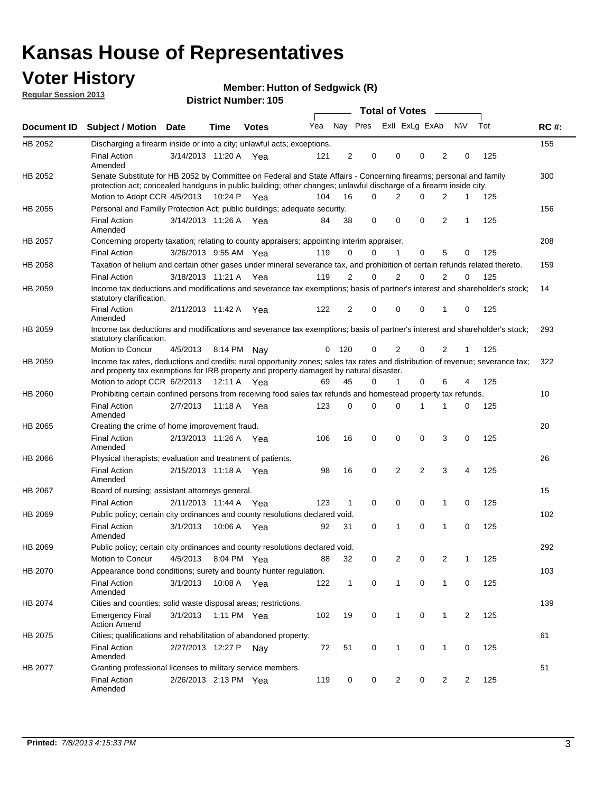### **Voter History**

**Regular Session 2013**

#### **Member: Hutton of Sedgwick (R)**

|                    |                                                                                                                                                                                                                                          |                       |             |              |     |              |                         |   | <b>Total of Votes</b> | $\sim$         |                |                |     |             |
|--------------------|------------------------------------------------------------------------------------------------------------------------------------------------------------------------------------------------------------------------------------------|-----------------------|-------------|--------------|-----|--------------|-------------------------|---|-----------------------|----------------|----------------|----------------|-----|-------------|
| <b>Document ID</b> | <b>Subject / Motion</b>                                                                                                                                                                                                                  | Date                  | <b>Time</b> | <b>Votes</b> | Yea |              | Nay Pres Exll ExLg ExAb |   |                       |                |                | N\V            | Tot | <b>RC#:</b> |
| HB 2052            | Discharging a firearm inside or into a city; unlawful acts; exceptions.                                                                                                                                                                  |                       |             |              |     |              |                         |   |                       |                |                |                |     | 155         |
|                    | <b>Final Action</b><br>Amended                                                                                                                                                                                                           | 3/14/2013 11:20 A Yea |             |              | 121 | 2            | 0                       |   | 0                     | $\Omega$       | $\overline{2}$ | 0              | 125 |             |
| HB 2052            | Senate Substitute for HB 2052 by Committee on Federal and State Affairs - Concerning firearms; personal and family<br>protection act; concealed handguns in public building; other changes; unlawful discharge of a firearm inside city. |                       |             |              |     |              |                         |   |                       |                |                |                |     | 300         |
|                    | Motion to Adopt CCR 4/5/2013 10:24 P Yea                                                                                                                                                                                                 |                       |             |              | 104 | 16           | $\Omega$                |   | 2                     | $\Omega$       | 2              | 1              | 125 |             |
| HB 2055            | Personal and Familly Protection Act; public buildings; adequate security.                                                                                                                                                                |                       |             |              |     |              |                         |   |                       |                |                |                |     | 156         |
|                    | <b>Final Action</b><br>Amended                                                                                                                                                                                                           | 3/14/2013 11:26 A     |             | Yea          | 84  | 38           | 0                       |   | 0                     | 0              | 2              | 1              | 125 |             |
| HB 2057            | Concerning property taxation; relating to county appraisers; appointing interim appraiser.                                                                                                                                               |                       |             |              |     |              |                         |   |                       |                |                |                |     | 208         |
|                    | <b>Final Action</b>                                                                                                                                                                                                                      | 3/26/2013 9:55 AM Yea |             |              | 119 | 0            |                         | 0 | $\mathbf 1$           | 0              | 5              | 0              | 125 |             |
| HB 2058            | Taxation of helium and certain other gases under mineral severance tax, and prohibition of certain refunds related thereto.                                                                                                              |                       |             |              |     |              |                         |   |                       |                |                |                |     | 159         |
|                    | <b>Final Action</b>                                                                                                                                                                                                                      | 3/18/2013 11:21 A Yea |             |              | 119 | 2            |                         | 0 | $\overline{2}$        | $\Omega$       | $\overline{2}$ | $\Omega$       | 125 |             |
| HB 2059            | Income tax deductions and modifications and severance tax exemptions; basis of partner's interest and shareholder's stock;<br>statutory clarification.                                                                                   |                       |             |              |     |              |                         |   |                       |                |                |                |     | 14          |
|                    | <b>Final Action</b><br>Amended                                                                                                                                                                                                           | 2/11/2013 11:42 A     |             | Yea          | 122 | 2            | 0                       |   | 0                     | 0              | 1              | 0              | 125 |             |
| HB 2059            | Income tax deductions and modifications and severance tax exemptions; basis of partner's interest and shareholder's stock;<br>statutory clarification.                                                                                   |                       |             |              |     |              |                         |   |                       |                |                |                |     | 293         |
|                    | Motion to Concur                                                                                                                                                                                                                         | 4/5/2013              |             | 8:14 PM Nav  | 0   | 120          | 0                       |   | 2                     | 0              | 2              | 1              | 125 |             |
| HB 2059            | Income tax rates, deductions and credits; rural opportunity zones; sales tax rates and distribution of revenue; severance tax;<br>and property tax exemptions for IRB property and property damaged by natural disaster.                 |                       |             |              |     |              |                         |   |                       |                |                |                |     | 322         |
|                    | Motion to adopt CCR 6/2/2013                                                                                                                                                                                                             |                       | 12:11 A     | Yea          | 69  | 45           |                         | 0 | 1                     | 0              | 6              | 4              | 125 |             |
| HB 2060            | Prohibiting certain confined persons from receiving food sales tax refunds and homestead property tax refunds.                                                                                                                           |                       |             |              |     |              |                         |   |                       |                |                |                |     | 10          |
|                    | <b>Final Action</b><br>Amended                                                                                                                                                                                                           | 2/7/2013              | 11:18 A     | Yea          | 123 | $\mathbf 0$  | $\Omega$                |   | $\Omega$              | 1              | 1              | 0              | 125 |             |
| HB 2065            | Creating the crime of home improvement fraud.                                                                                                                                                                                            |                       |             |              |     |              |                         |   |                       |                |                |                |     | 20          |
|                    | <b>Final Action</b><br>Amended                                                                                                                                                                                                           | 2/13/2013 11:26 A Yea |             |              | 106 | 16           | 0                       |   | 0                     | $\mathbf 0$    | 3              | $\mathbf 0$    | 125 |             |
| HB 2066            | Physical therapists; evaluation and treatment of patients.                                                                                                                                                                               |                       |             |              |     |              |                         |   |                       |                |                |                |     | 26          |
|                    | <b>Final Action</b><br>Amended                                                                                                                                                                                                           | 2/15/2013 11:18 A Yea |             |              | 98  | 16           | 0                       |   | $\overline{2}$        | $\overline{2}$ | 3              | 4              | 125 |             |
| HB 2067            | Board of nursing; assistant attorneys general.                                                                                                                                                                                           |                       |             |              |     |              |                         |   |                       |                |                |                |     | 15          |
|                    | <b>Final Action</b>                                                                                                                                                                                                                      | 2/11/2013 11:44 A Yea |             |              | 123 | $\mathbf{1}$ | 0                       |   | 0                     | 0              | 1              | 0              | 125 |             |
| HB 2069            | Public policy; certain city ordinances and county resolutions declared void.                                                                                                                                                             |                       |             |              |     |              |                         |   |                       |                |                |                |     | 102         |
|                    | <b>Final Action</b><br>Amended                                                                                                                                                                                                           | 3/1/2013              | 10:06 A     | Yea          | 92  | 31           | 0                       |   | 1                     | 0              | 1              | 0              | 125 |             |
| HB 2069            | Public policy; certain city ordinances and county resolutions declared void.                                                                                                                                                             |                       |             |              |     |              |                         |   |                       |                |                |                |     | 292         |
|                    | Motion to Concur                                                                                                                                                                                                                         | 4/5/2013              |             | 8:04 PM Yea  | 88  | 32           | 0                       |   | $\overline{2}$        | 0              | $\overline{2}$ | 1              | 125 |             |
| HB 2070            | Appearance bond conditions; surety and bounty hunter regulation.                                                                                                                                                                         |                       |             |              |     |              |                         |   |                       |                |                |                |     | 103         |
|                    | <b>Final Action</b><br>Amended                                                                                                                                                                                                           | 3/1/2013 10:08 A Yea  |             |              | 122 | $\mathbf{1}$ | 0                       |   | $\mathbf{1}$          | $\mathbf 0$    | 1              | 0              | 125 |             |
| HB 2074            | Cities and counties; solid waste disposal areas; restrictions.                                                                                                                                                                           |                       |             |              |     |              |                         |   |                       |                |                |                |     | 139         |
|                    | <b>Emergency Final</b><br><b>Action Amend</b>                                                                                                                                                                                            | 3/1/2013              |             | 1:11 PM Yea  | 102 | 19           | 0                       |   | $\mathbf{1}$          | 0              | 1              | $\overline{2}$ | 125 |             |
| HB 2075            | Cities; qualifications and rehabilitation of abandoned property.                                                                                                                                                                         |                       |             |              |     |              |                         |   |                       |                |                |                |     | 61          |
|                    | <b>Final Action</b><br>Amended                                                                                                                                                                                                           | 2/27/2013 12:27 P     |             | Nav          | 72  | 51           | 0                       |   | 1                     | 0              | 1              | 0              | 125 |             |
| HB 2077            | Granting professional licenses to military service members.<br><b>Final Action</b><br>Amended                                                                                                                                            | 2/26/2013 2:13 PM Yea |             |              | 119 | 0            |                         | 0 | 2                     | 0              | $\overline{2}$ | 2              | 125 | 51          |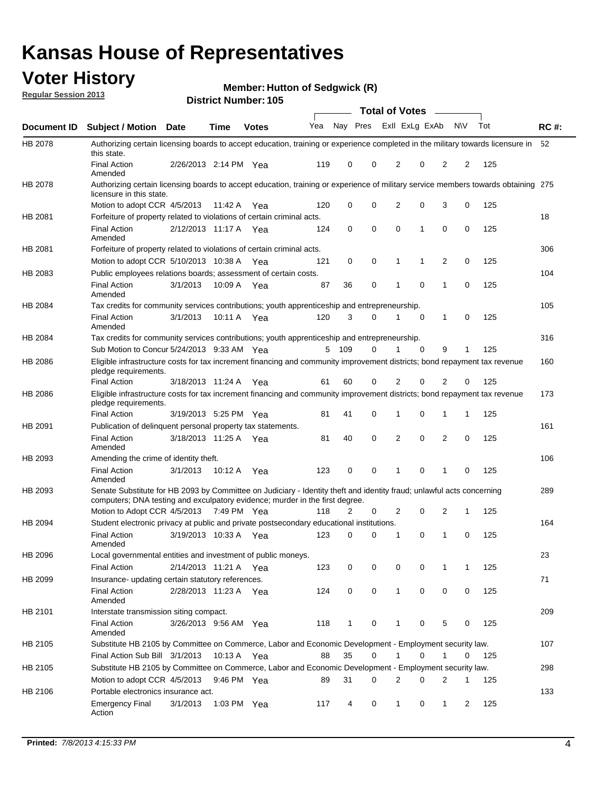### **Voter History**

**Member: Hutton of Sedgwick (R)** 

**Regular Session 2013**

|                    |                                                                                                                                                                                                       |                       |             | טטו הסעוווטנו ועוווט |              |              |   | <b>Total of Votes</b> |             | $\overline{\phantom{a}}$ |             |     |             |
|--------------------|-------------------------------------------------------------------------------------------------------------------------------------------------------------------------------------------------------|-----------------------|-------------|----------------------|--------------|--------------|---|-----------------------|-------------|--------------------------|-------------|-----|-------------|
| <b>Document ID</b> | <b>Subject / Motion Date</b>                                                                                                                                                                          |                       | <b>Time</b> | <b>Votes</b>         | Yea Nay Pres |              |   | Exll ExLg ExAb        |             |                          | <b>NV</b>   | Tot | <b>RC#:</b> |
| HB 2078            | Authorizing certain licensing boards to accept education, training or experience completed in the military towards licensure in<br>this state.                                                        |                       |             |                      |              |              |   |                       |             |                          |             |     | 52          |
|                    | <b>Final Action</b><br>Amended                                                                                                                                                                        | 2/26/2013 2:14 PM Yea |             |                      | 119          | 0            | 0 | 2                     | 0           | 2                        | 2           | 125 |             |
| HB 2078            | Authorizing certain licensing boards to accept education, training or experience of military service members towards obtaining 275<br>licensure in this state.                                        |                       |             |                      |              |              |   |                       |             |                          |             |     |             |
|                    | Motion to adopt CCR 4/5/2013                                                                                                                                                                          |                       | 11:42 A     | Yea                  | 120          | 0            | 0 | $\overline{2}$        | 0           | 3                        | 0           | 125 |             |
| HB 2081            | Forfeiture of property related to violations of certain criminal acts.                                                                                                                                |                       |             |                      |              |              |   |                       |             |                          |             |     | 18          |
|                    | <b>Final Action</b><br>Amended                                                                                                                                                                        | 2/12/2013 11:17 A Yea |             |                      | 124          | 0            | 0 | $\Omega$              | 1           | 0                        | 0           | 125 |             |
| HB 2081            | Forfeiture of property related to violations of certain criminal acts.                                                                                                                                |                       |             |                      |              |              |   |                       |             |                          |             |     | 306         |
|                    | Motion to adopt CCR 5/10/2013 10:38 A                                                                                                                                                                 |                       |             | Yea                  | 121          | 0            | 0 | 1                     | 1           | 2                        | 0           | 125 |             |
| HB 2083            | Public employees relations boards; assessment of certain costs.                                                                                                                                       |                       |             |                      |              |              |   |                       |             |                          |             |     | 104         |
|                    | <b>Final Action</b><br>Amended                                                                                                                                                                        | 3/1/2013              | 10:09 A     | Yea                  | 87           | 36           | 0 | 1                     | $\mathbf 0$ | 1                        | $\mathbf 0$ | 125 |             |
| HB 2084            | Tax credits for community services contributions; youth apprenticeship and entrepreneurship.                                                                                                          |                       |             |                      |              |              |   |                       |             |                          |             |     | 105         |
|                    | <b>Final Action</b><br>Amended                                                                                                                                                                        | 3/1/2013              | 10:11 A     | Yea                  | 120          | 3            | 0 | 1                     | $\mathbf 0$ | 1                        | 0           | 125 |             |
| HB 2084            | Tax credits for community services contributions; youth apprenticeship and entrepreneurship.                                                                                                          |                       |             |                      |              |              |   |                       |             |                          |             |     | 316         |
|                    | Sub Motion to Concur 5/24/2013 9:33 AM Yea                                                                                                                                                            |                       |             |                      | 5            | 109          | 0 |                       | $\Omega$    | 9                        | 1           | 125 |             |
| HB 2086            | Eligible infrastructure costs for tax increment financing and community improvement districts; bond repayment tax revenue<br>pledge requirements.                                                     |                       |             |                      |              |              |   |                       |             |                          |             |     | 160         |
|                    | <b>Final Action</b>                                                                                                                                                                                   | 3/18/2013 11:24 A     |             | Yea                  | 61           | 60           | 0 | 2                     | 0           | $\overline{2}$           | 0           | 125 |             |
| HB 2086            | Eligible infrastructure costs for tax increment financing and community improvement districts; bond repayment tax revenue<br>pledge requirements.                                                     |                       |             |                      |              |              |   |                       |             |                          |             |     | 173         |
|                    | <b>Final Action</b>                                                                                                                                                                                   | 3/19/2013 5:25 PM Yea |             |                      | 81           | 41           | 0 | 1                     | 0           | 1                        | 1           | 125 |             |
| HB 2091            | Publication of delinguent personal property tax statements.                                                                                                                                           |                       |             |                      |              |              |   |                       |             |                          |             |     | 161         |
|                    | <b>Final Action</b><br>Amended                                                                                                                                                                        | 3/18/2013 11:25 A     |             | Yea                  | 81           | 40           | 0 | 2                     | 0           | $\overline{2}$           | 0           | 125 |             |
| HB 2093            | Amending the crime of identity theft.                                                                                                                                                                 |                       |             |                      |              |              |   |                       |             |                          |             |     | 106         |
|                    | <b>Final Action</b><br>Amended                                                                                                                                                                        | 3/1/2013              | 10:12 A     | Yea                  | 123          | 0            | 0 | 1                     | $\Omega$    | 1                        | 0           | 125 |             |
| HB 2093            | Senate Substitute for HB 2093 by Committee on Judiciary - Identity theft and identity fraud; unlawful acts concerning<br>computers; DNA testing and exculpatory evidence; murder in the first degree. |                       |             |                      |              |              |   |                       |             |                          |             |     | 289         |
|                    | Motion to Adopt CCR 4/5/2013 7:49 PM Yea                                                                                                                                                              |                       |             |                      | 118          | 2            | 0 | 2                     | 0           | 2                        | 1           | 125 |             |
| HB 2094            | Student electronic privacy at public and private postsecondary educational institutions.                                                                                                              |                       |             |                      |              |              |   |                       |             |                          |             |     | 164         |
|                    | <b>Final Action</b><br>Amended                                                                                                                                                                        | 3/19/2013 10:33 A     |             | Yea                  | 123          | 0            | 0 | 1                     | 0           | 1                        | 0           | 125 |             |
| HB 2096            | Local governmental entities and investment of public moneys.<br><b>Final Action</b>                                                                                                                   | 2/14/2013 11:21 A     |             | Yea                  | 123          | 0            | 0 | 0                     | 0           | 1                        | 1           | 125 | 23          |
| HB 2099            | Insurance- updating certain statutory references.                                                                                                                                                     |                       |             |                      |              |              |   |                       |             |                          |             |     | 71          |
|                    | <b>Final Action</b><br>Amended                                                                                                                                                                        | 2/28/2013 11:23 A     |             | Yea                  | 124          | 0            | 0 | 1                     | 0           | 0                        | 0           | 125 |             |
| HB 2101            | Interstate transmission siting compact.                                                                                                                                                               |                       |             |                      |              |              |   |                       |             |                          |             |     | 209         |
|                    | <b>Final Action</b><br>Amended                                                                                                                                                                        | 3/26/2013 9:56 AM Yea |             |                      | 118          | $\mathbf{1}$ | 0 | 1                     | 0           | 5                        | 0           | 125 |             |
| HB 2105            | Substitute HB 2105 by Committee on Commerce, Labor and Economic Development - Employment security law.                                                                                                |                       |             |                      |              |              |   |                       |             |                          |             |     | 107         |
|                    | Final Action Sub Bill 3/1/2013                                                                                                                                                                        |                       | 10:13 A Yea |                      | 88           | 35           | 0 |                       | 0           | 1                        | 0           | 125 |             |
| HB 2105            | Substitute HB 2105 by Committee on Commerce, Labor and Economic Development - Employment security law.                                                                                                |                       |             |                      |              |              |   |                       |             |                          |             |     | 298         |
|                    | Motion to adopt CCR 4/5/2013                                                                                                                                                                          |                       | 9:46 PM Yea |                      | 89           | 31           | 0 | 2                     | 0           | 2                        | 1           | 125 |             |
| HB 2106            | Portable electronics insurance act.                                                                                                                                                                   |                       |             |                      |              |              |   |                       |             |                          |             |     | 133         |
|                    | <b>Emergency Final</b><br>Action                                                                                                                                                                      | 3/1/2013              | 1:03 PM Yea |                      | 117          | 4            | 0 | $\mathbf{1}$          | 0           | $\mathbf{1}$             | 2           | 125 |             |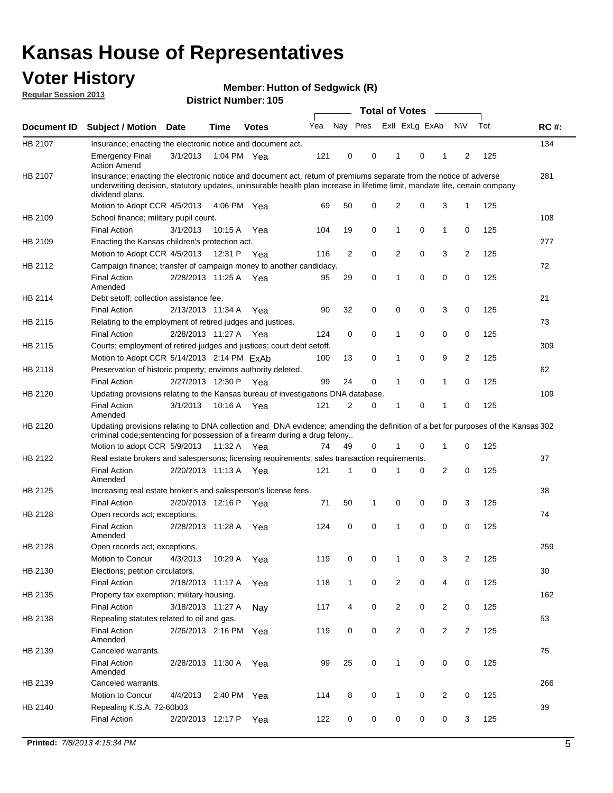### **Voter History**

**Member: Hutton of Sedgwick (R)** 

**Regular Session 2013**

|             |                                                                                                                                                                                                                                                                      |                       |             |              |     |              |   | <b>Total of Votes</b>   |   | $\sim$         |                |     |             |
|-------------|----------------------------------------------------------------------------------------------------------------------------------------------------------------------------------------------------------------------------------------------------------------------|-----------------------|-------------|--------------|-----|--------------|---|-------------------------|---|----------------|----------------|-----|-------------|
| Document ID | <b>Subject / Motion</b>                                                                                                                                                                                                                                              | <b>Date</b>           | <b>Time</b> | <b>Votes</b> | Yea |              |   | Nay Pres Exll ExLg ExAb |   |                | N\V            | Tot | <b>RC#:</b> |
| HB 2107     | Insurance; enacting the electronic notice and document act.                                                                                                                                                                                                          |                       |             |              |     |              |   |                         |   |                |                |     | 134         |
|             | <b>Emergency Final</b><br><b>Action Amend</b>                                                                                                                                                                                                                        | 3/1/2013              | 1:04 PM Yea |              | 121 | 0            | 0 | 1                       | 0 | 1              | 2              | 125 |             |
| HB 2107     | Insurance; enacting the electronic notice and document act, return of premiums separate from the notice of adverse<br>underwriting decision, statutory updates, uninsurable health plan increase in lifetime limit, mandate lite, certain company<br>dividend plans. |                       |             |              |     |              |   |                         |   |                |                |     | 281         |
|             | Motion to Adopt CCR 4/5/2013                                                                                                                                                                                                                                         |                       | 4:06 PM Yea |              | 69  | 50           | 0 | 2                       | 0 | 3              | 1              | 125 |             |
| HB 2109     | School finance; military pupil count.                                                                                                                                                                                                                                |                       |             |              |     |              |   |                         |   |                |                |     | 108         |
|             | <b>Final Action</b>                                                                                                                                                                                                                                                  | 3/1/2013              | 10:15 A     | Yea          | 104 | 19           | 0 | 1                       | 0 | 1              | 0              | 125 |             |
| HB 2109     | Enacting the Kansas children's protection act.                                                                                                                                                                                                                       |                       |             |              |     |              |   |                         |   |                |                |     | 277         |
|             | Motion to Adopt CCR 4/5/2013                                                                                                                                                                                                                                         |                       | 12:31 P Yea |              | 116 | 2            | 0 | 2                       | 0 | 3              | 2              | 125 |             |
| HB 2112     | Campaign finance; transfer of campaign money to another candidacy.                                                                                                                                                                                                   |                       |             |              |     |              |   |                         |   |                |                |     | 72          |
|             | <b>Final Action</b><br>Amended                                                                                                                                                                                                                                       | 2/28/2013 11:25 A Yea |             |              | 95  | 29           | 0 | 1                       | 0 | 0              | 0              | 125 |             |
| HB 2114     | Debt setoff; collection assistance fee.                                                                                                                                                                                                                              |                       |             |              |     |              |   |                         |   |                |                |     | 21          |
|             | <b>Final Action</b>                                                                                                                                                                                                                                                  | 2/13/2013 11:34 A     |             | Yea          | 90  | 32           | 0 | 0                       | 0 | 3              | 0              | 125 |             |
| HB 2115     | Relating to the employment of retired judges and justices.                                                                                                                                                                                                           |                       |             |              |     |              |   |                         |   |                |                |     | 73          |
|             | <b>Final Action</b>                                                                                                                                                                                                                                                  | 2/28/2013 11:27 A     |             | Yea          | 124 | 0            | 0 | 1                       | 0 | 0              | 0              | 125 |             |
| HB 2115     | Courts; employment of retired judges and justices; court debt setoff.                                                                                                                                                                                                |                       |             |              |     |              |   |                         |   |                |                |     | 309         |
|             | Motion to Adopt CCR 5/14/2013 2:14 PM ExAb                                                                                                                                                                                                                           |                       |             |              | 100 | 13           | 0 | 1                       | 0 | 9              | $\overline{2}$ | 125 |             |
| HB 2118     | Preservation of historic property; environs authority deleted.                                                                                                                                                                                                       |                       |             |              |     |              |   |                         |   |                |                |     | 62          |
|             | <b>Final Action</b>                                                                                                                                                                                                                                                  | 2/27/2013 12:30 P     |             | Yea          | 99  | 24           | 0 | 1                       | 0 | 1              | 0              | 125 |             |
| HB 2120     | Updating provisions relating to the Kansas bureau of investigations DNA database.                                                                                                                                                                                    |                       |             |              |     |              |   |                         |   |                |                |     | 109         |
|             | <b>Final Action</b><br>Amended                                                                                                                                                                                                                                       | 3/1/2013              | 10:16 A     | Yea          | 121 | 2            | 0 | 1                       | 0 | 1              | 0              | 125 |             |
| HB 2120     | Updating provisions relating to DNA collection and DNA evidence; amending the definition of a bet for purposes of the Kansas 302<br>criminal code; sentencing for possession of a firearm during a drug felony<br>Motion to adopt CCR 5/9/2013 11:32 A Yea           |                       |             |              | 74  | 49           | 0 | 1                       | 0 | 1              | 0              | 125 |             |
| HB 2122     | Real estate brokers and salespersons; licensing requirements; sales transaction requirements.                                                                                                                                                                        |                       |             |              |     |              |   |                         |   |                |                |     | 37          |
|             | <b>Final Action</b><br>Amended                                                                                                                                                                                                                                       | 2/20/2013 11:13 A Yea |             |              | 121 | 1            | 0 |                         | 0 | 2              | 0              | 125 |             |
| HB 2125     | Increasing real estate broker's and salesperson's license fees.                                                                                                                                                                                                      |                       |             |              |     |              |   |                         |   |                |                |     | 38          |
|             | <b>Final Action</b>                                                                                                                                                                                                                                                  | 2/20/2013 12:16 P     |             | Yea          | 71  | 50           | 1 | 0                       | 0 | 0              | 3              | 125 |             |
| HB 2128     | Open records act; exceptions.                                                                                                                                                                                                                                        |                       |             |              |     |              |   |                         |   |                |                |     | 74          |
|             | <b>Final Action</b><br>Amended                                                                                                                                                                                                                                       | 2/28/2013 11:28 A     |             | Yea          | 124 | 0            | 0 | 1                       | 0 | 0              | 0              | 125 |             |
| HB 2128     | Open records act; exceptions.                                                                                                                                                                                                                                        |                       |             |              |     |              |   |                         |   |                |                |     | 259         |
|             | Motion to Concur                                                                                                                                                                                                                                                     | 4/3/2013              | 10:29 A     | Yea          | 119 | 0            | 0 | 1                       | 0 | 3              | $\overline{2}$ | 125 |             |
| HB 2130     | Elections; petition circulators.                                                                                                                                                                                                                                     |                       |             |              |     |              |   |                         |   |                |                |     | 30          |
|             | <b>Final Action</b>                                                                                                                                                                                                                                                  | 2/18/2013 11:17 A     |             | Yea          | 118 | $\mathbf{1}$ | 0 | 2                       | 0 | 4              | 0              | 125 |             |
| HB 2135     | Property tax exemption; military housing.                                                                                                                                                                                                                            |                       |             |              |     |              |   |                         |   |                |                |     | 162         |
|             | <b>Final Action</b>                                                                                                                                                                                                                                                  | 3/18/2013 11:27 A     |             | Nay          | 117 | 4            | 0 | $\overline{2}$          | 0 | $\overline{2}$ | 0              | 125 |             |
| HB 2138     | Repealing statutes related to oil and gas.                                                                                                                                                                                                                           |                       |             |              |     |              |   |                         |   |                |                |     | 53          |
|             | <b>Final Action</b><br>Amended                                                                                                                                                                                                                                       | 2/26/2013 2:16 PM Yea |             |              | 119 | 0            | 0 | $\overline{c}$          | 0 | $\overline{2}$ | $\overline{2}$ | 125 |             |
| HB 2139     | Canceled warrants.                                                                                                                                                                                                                                                   |                       |             |              |     |              |   |                         |   |                |                |     | 75          |
|             | <b>Final Action</b><br>Amended                                                                                                                                                                                                                                       | 2/28/2013 11:30 A     |             | Yea          | 99  | 25           | 0 | $\mathbf{1}$            | 0 | 0              | 0              | 125 |             |
| HB 2139     | Canceled warrants.                                                                                                                                                                                                                                                   |                       |             |              |     |              |   |                         |   |                |                |     | 266         |
|             | Motion to Concur                                                                                                                                                                                                                                                     | 4/4/2013              | 2:40 PM     | Yea          | 114 | 8            | 0 | 1                       | 0 | 2              | 0              | 125 |             |
| HB 2140     | Repealing K.S.A. 72-60b03                                                                                                                                                                                                                                            |                       |             |              |     |              |   |                         |   |                |                |     | 39          |
|             | <b>Final Action</b>                                                                                                                                                                                                                                                  | 2/20/2013 12:17 P     |             | Yea          | 122 | 0            | 0 | 0                       | 0 | 0              | 3              | 125 |             |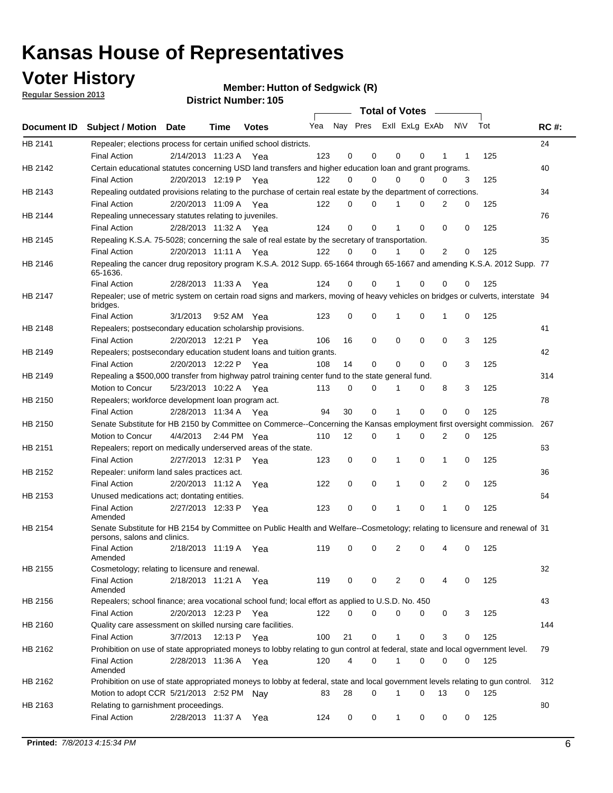### **Voter History**

**Regular Session 2013**

**Member: Hutton of Sedgwick (R)** 

|                |                                                                                                                                              |          |                       |              |     |    | <b>Total of Votes</b>   |              |   | <b>Contract Contract</b> |           |     |             |
|----------------|----------------------------------------------------------------------------------------------------------------------------------------------|----------|-----------------------|--------------|-----|----|-------------------------|--------------|---|--------------------------|-----------|-----|-------------|
| Document ID    | <b>Subject / Motion Date</b>                                                                                                                 |          | Time                  | <b>Votes</b> | Yea |    | Nay Pres Exll ExLg ExAb |              |   |                          | <b>NV</b> | Tot | <b>RC#:</b> |
| HB 2141        | Repealer; elections process for certain unified school districts.                                                                            |          |                       |              |     |    |                         |              |   |                          |           |     | 24          |
|                | <b>Final Action</b>                                                                                                                          |          | 2/14/2013 11:23 A     | Yea          | 123 | 0  | 0                       | 0            | 0 | 1                        | 1         | 125 |             |
| <b>HB 2142</b> | Certain educational statutes concerning USD land transfers and higher education loan and grant programs.                                     |          |                       |              |     |    |                         |              |   |                          |           |     | 40          |
|                | Final Action                                                                                                                                 |          | 2/20/2013 12:19 P Yea |              | 122 | 0  | 0                       | $\Omega$     | 0 | $\Omega$                 | 3         | 125 |             |
| HB 2143        | Repealing outdated provisions relating to the purchase of certain real estate by the department of corrections.                              |          |                       |              |     |    |                         |              |   |                          |           |     | 34          |
|                | <b>Final Action</b>                                                                                                                          |          | 2/20/2013 11:09 A Yea |              | 122 | 0  | 0                       | 1            | 0 | 2                        | 0         | 125 |             |
| HB 2144        | Repealing unnecessary statutes relating to juveniles.                                                                                        |          |                       |              |     |    |                         |              |   |                          |           |     | 76          |
|                | <b>Final Action</b>                                                                                                                          |          | 2/28/2013 11:32 A Yea |              | 124 | 0  | 0                       | 1            | 0 | 0                        | 0         | 125 |             |
| HB 2145        | Repealing K.S.A. 75-5028; concerning the sale of real estate by the secretary of transportation.                                             |          |                       |              |     |    |                         |              |   |                          |           |     | 35          |
|                | <b>Final Action</b>                                                                                                                          |          | 2/20/2013 11:11 A Yea |              | 122 | 0  | 0                       | 1            | 0 | 2                        | 0         | 125 |             |
| HB 2146        | Repealing the cancer drug repository program K.S.A. 2012 Supp. 65-1664 through 65-1667 and amending K.S.A. 2012 Supp. 77<br>65-1636.         |          |                       |              |     |    |                         |              |   |                          |           |     |             |
|                | <b>Final Action</b>                                                                                                                          |          | 2/28/2013 11:33 A     | Yea          | 124 | 0  | 0                       |              | 0 | 0                        | 0         | 125 |             |
| HB 2147        | Repealer; use of metric system on certain road signs and markers, moving of heavy vehicles on bridges or culverts, interstate 94<br>bridges. |          |                       |              |     |    |                         |              |   |                          |           |     |             |
|                | <b>Final Action</b>                                                                                                                          | 3/1/2013 |                       | 9:52 AM Yea  | 123 | 0  | 0                       |              | 0 | 1                        | 0         | 125 |             |
| HB 2148        | Repealers; postsecondary education scholarship provisions.                                                                                   |          |                       |              |     |    |                         |              |   |                          |           |     | 41          |
|                | <b>Final Action</b>                                                                                                                          |          | 2/20/2013 12:21 P     | Yea          | 106 | 16 | 0                       | 0            | 0 | $\mathbf 0$              | 3         | 125 |             |
| HB 2149        | Repealers; postsecondary education student loans and tuition grants.                                                                         |          |                       |              |     |    |                         |              |   |                          |           |     | 42          |
|                | <b>Final Action</b>                                                                                                                          |          | 2/20/2013 12:22 P     | Yea          | 108 | 14 | 0                       | 0            | 0 | 0                        | 3         | 125 |             |
| HB 2149        | Repealing a \$500,000 transfer from highway patrol training center fund to the state general fund.                                           |          |                       |              |     |    |                         |              |   |                          |           |     | 314         |
|                | <b>Motion to Concur</b>                                                                                                                      |          | 5/23/2013 10:22 A Yea |              | 113 | 0  | 0                       |              | 0 | 8                        | 3         | 125 |             |
| HB 2150        | Repealers; workforce development loan program act.                                                                                           |          |                       |              |     |    |                         |              |   |                          |           |     | 78          |
|                | <b>Final Action</b>                                                                                                                          |          | 2/28/2013 11:34 A Yea |              | 94  | 30 | 0                       | 1            | 0 | 0                        | 0         | 125 |             |
| HB 2150        | Senate Substitute for HB 2150 by Committee on Commerce--Concerning the Kansas employment first oversight commission.                         |          |                       |              |     |    |                         |              |   |                          |           |     | 267         |
|                | Motion to Concur                                                                                                                             |          | 4/4/2013 2:44 PM Yea  |              | 110 | 12 | 0                       | 1            | 0 | 2                        | 0         | 125 |             |
| HB 2151        | Repealers; report on medically underserved areas of the state.                                                                               |          |                       |              |     |    |                         |              |   |                          |           |     | 63          |
|                | <b>Final Action</b>                                                                                                                          |          | 2/27/2013 12:31 P     | Yea          | 123 | 0  | 0                       | 1            | 0 | 1                        | 0         | 125 |             |
| HB 2152        | Repealer: uniform land sales practices act.                                                                                                  |          |                       |              |     |    |                         |              |   |                          |           |     | 36          |
|                | <b>Final Action</b>                                                                                                                          |          | 2/20/2013 11:12 A     | Yea          | 122 | 0  | 0                       | 1            | 0 | $\overline{2}$           | 0         | 125 |             |
| HB 2153        | Unused medications act; dontating entities.                                                                                                  |          |                       |              |     |    |                         |              |   |                          |           |     | 64          |
|                | <b>Final Action</b><br>Amended                                                                                                               |          | 2/27/2013 12:33 P     | Yea          | 123 | 0  | 0                       | 1            | 0 | 1                        | 0         | 125 |             |
| HB 2154        | Senate Substitute for HB 2154 by Committee on Public Health and Welfare--Cosmetology; relating to licensure and renewal of 31                |          |                       |              |     |    |                         |              |   |                          |           |     |             |
|                | persons, salons and clinics.<br><b>Final Action</b><br>Amended                                                                               |          | 2/18/2013 11:19 A     | Yea          | 119 | 0  | 0                       | 2            | 0 | 4                        | 0         | 125 |             |
| HB 2155        | Cosmetology; relating to licensure and renewal.                                                                                              |          |                       |              |     |    |                         |              |   |                          |           |     | 32          |
|                | <b>Final Action</b><br>Amended                                                                                                               |          | 2/18/2013 11:21 A Yea |              | 119 | 0  | 0                       | 2            | 0 |                          | 0         | 125 |             |
| HB 2156        | Repealers; school finance; area vocational school fund; local effort as applied to U.S.D. No. 450                                            |          |                       |              |     |    |                         |              |   |                          |           |     | 43          |
|                | Final Action                                                                                                                                 |          | 2/20/2013 12:23 P     | Yea          | 122 | 0  | 0                       | 0            | 0 | 0                        | 3         | 125 |             |
| HB 2160        | Quality care assessment on skilled nursing care facilities.                                                                                  |          |                       |              |     |    |                         |              |   |                          |           |     | 144         |
|                | Final Action                                                                                                                                 | 3/7/2013 | 12:13 P               | Yea          | 100 | 21 | 0                       | 1            | 0 | 3                        | 0         | 125 |             |
| HB 2162        | Prohibition on use of state appropriated moneys to lobby relating to gun control at federal, state and local ogvernment level.               |          |                       |              |     |    |                         |              |   |                          |           |     | 79          |
|                | Final Action<br>Amended                                                                                                                      |          | 2/28/2013 11:36 A Yea |              | 120 | 4  | 0                       | 1            | 0 | 0                        | 0         | 125 |             |
| HB 2162        | Prohibition on use of state appropriated moneys to lobby at federal, state and local government levels relating to gun control.              |          |                       |              |     |    |                         |              |   |                          |           |     | 312         |
|                | Motion to adopt CCR 5/21/2013 2:52 PM Nay                                                                                                    |          |                       |              | 83  | 28 | $\Omega$                | 1            | 0 | 13                       | 0         | 125 |             |
| HB 2163        | Relating to garnishment proceedings.                                                                                                         |          |                       |              |     |    |                         |              |   |                          |           |     | 80          |
|                | <b>Final Action</b>                                                                                                                          |          | 2/28/2013 11:37 A     | Yea          | 124 | 0  | 0                       | $\mathbf{1}$ | 0 | 0                        | 0         | 125 |             |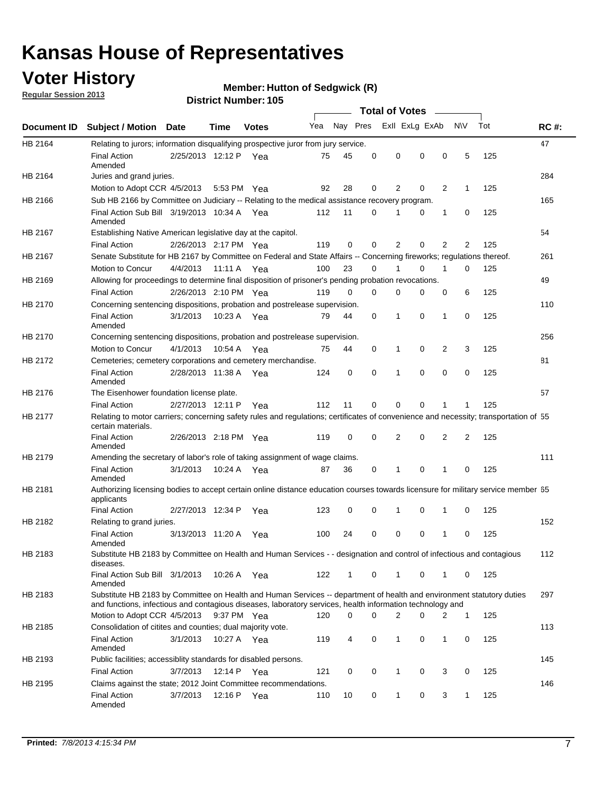### **Voter History**

**Regular Session 2013**

#### **Member: Hutton of Sedgwick (R)**

|                    |                                                                                                                                                                                                                                    |                       |             | טטו הסעוווטנו ועוווט |              |              |          | <b>Total of Votes</b> |          | $\sim$ |                |     |             |
|--------------------|------------------------------------------------------------------------------------------------------------------------------------------------------------------------------------------------------------------------------------|-----------------------|-------------|----------------------|--------------|--------------|----------|-----------------------|----------|--------|----------------|-----|-------------|
| <b>Document ID</b> | <b>Subject / Motion Date</b>                                                                                                                                                                                                       |                       | Time        | <b>Votes</b>         | Yea Nay Pres |              |          | Exll ExLg ExAb        |          |        | <b>NV</b>      | Tot | <b>RC#:</b> |
| HB 2164            | Relating to jurors; information disqualifying prospective juror from jury service.                                                                                                                                                 |                       |             |                      |              |              |          |                       |          |        |                |     | 47          |
|                    | <b>Final Action</b><br>Amended                                                                                                                                                                                                     | 2/25/2013 12:12 P Yea |             |                      | 75           | 45           | 0        | 0                     | 0        | 0      | 5              | 125 |             |
| HB 2164            | Juries and grand juries.                                                                                                                                                                                                           |                       |             |                      |              |              |          |                       |          |        |                |     | 284         |
|                    | Motion to Adopt CCR 4/5/2013                                                                                                                                                                                                       |                       | 5:53 PM Yea |                      | 92           | 28           | 0        | 2                     | 0        | 2      | $\mathbf 1$    | 125 |             |
| HB 2166            | Sub HB 2166 by Committee on Judiciary -- Relating to the medical assistance recovery program.                                                                                                                                      |                       |             |                      |              |              |          |                       |          |        |                |     | 165         |
|                    | Final Action Sub Bill 3/19/2013 10:34 A Yea<br>Amended                                                                                                                                                                             |                       |             |                      | 112          | 11           | 0        | 1                     | 0        | 1      | 0              | 125 |             |
| HB 2167            | Establishing Native American legislative day at the capitol.                                                                                                                                                                       |                       |             |                      |              |              |          |                       |          |        |                |     | 54          |
|                    | <b>Final Action</b>                                                                                                                                                                                                                | 2/26/2013 2:17 PM Yea |             |                      | 119          | 0            | 0        | 2                     | 0        | 2      | 2              | 125 |             |
| HB 2167            | Senate Substitute for HB 2167 by Committee on Federal and State Affairs -- Concerning fireworks; regulations thereof.                                                                                                              |                       |             |                      |              |              |          |                       |          |        |                |     | 261         |
|                    | Motion to Concur                                                                                                                                                                                                                   | 4/4/2013              | 11:11 A Yea |                      | 100          | 23           | 0        | 1                     | 0        | 1      | 0              | 125 |             |
| HB 2169            | Allowing for proceedings to determine final disposition of prisoner's pending probation revocations.                                                                                                                               |                       |             |                      |              |              |          |                       |          |        |                |     | 49          |
|                    | <b>Final Action</b>                                                                                                                                                                                                                | 2/26/2013 2:10 PM Yea |             |                      | 119          | 0            | 0        | 0                     | 0        | 0      | 6              | 125 |             |
| HB 2170            | Concerning sentencing dispositions, probation and postrelease supervision.                                                                                                                                                         |                       |             |                      |              |              |          |                       |          |        |                |     | 110         |
|                    | <b>Final Action</b><br>Amended                                                                                                                                                                                                     | 3/1/2013              | 10:23 A Yea |                      | 79           | 44           | 0        | 1                     | 0        | 1      | 0              | 125 |             |
| HB 2170            | Concerning sentencing dispositions, probation and postrelease supervision.                                                                                                                                                         |                       |             |                      |              |              |          |                       |          |        |                |     | 256         |
|                    | Motion to Concur                                                                                                                                                                                                                   | 4/1/2013              | 10:54 A     | Yea                  | 75           | 44           | 0        | $\mathbf{1}$          | 0        | 2      | 3              | 125 |             |
| HB 2172            | Cemeteries; cemetery corporations and cemetery merchandise.                                                                                                                                                                        |                       |             |                      |              |              |          |                       |          |        |                |     | 81          |
|                    | <b>Final Action</b><br>Amended                                                                                                                                                                                                     | 2/28/2013 11:38 A Yea |             |                      | 124          | 0            | $\Omega$ | 1                     | $\Omega$ | 0      | 0              | 125 |             |
| HB 2176            | The Eisenhower foundation license plate.                                                                                                                                                                                           |                       |             |                      |              |              |          |                       |          |        |                |     | 57          |
|                    | <b>Final Action</b>                                                                                                                                                                                                                | 2/27/2013 12:11 P     |             | Yea                  | 112          | 11           | 0        | 0                     | 0        |        | 1              | 125 |             |
| HB 2177            | Relating to motor carriers; concerning safety rules and regulations; certificates of convenience and necessity; transportation of 55<br>certain materials.                                                                         |                       |             |                      |              |              |          |                       |          |        |                |     |             |
|                    | <b>Final Action</b><br>Amended                                                                                                                                                                                                     | 2/26/2013 2:18 PM Yea |             |                      | 119          | 0            | 0        | 2                     | 0        | 2      | $\overline{2}$ | 125 |             |
| HB 2179            | Amending the secretary of labor's role of taking assignment of wage claims.                                                                                                                                                        |                       |             |                      |              |              |          |                       |          |        |                |     | 111         |
|                    | <b>Final Action</b><br>Amended                                                                                                                                                                                                     | 3/1/2013              | 10:24 A Yea |                      | 87           | 36           | 0        | 1                     | $\Omega$ |        | 0              | 125 |             |
| HB 2181            | Authorizing licensing bodies to accept certain online distance education courses towards licensure for military service member 55<br>applicants                                                                                    |                       |             |                      |              |              |          |                       |          |        |                |     |             |
|                    | <b>Final Action</b>                                                                                                                                                                                                                | 2/27/2013 12:34 P     |             | Yea                  | 123          | 0            | 0        | 1                     | 0        | 1      | 0              | 125 |             |
| HB 2182            | Relating to grand juries.                                                                                                                                                                                                          |                       |             |                      |              |              |          |                       |          |        |                |     | 152         |
|                    | <b>Final Action</b><br>Amended                                                                                                                                                                                                     | 3/13/2013 11:20 A     |             | Yea                  | 100          | 24           | 0        | 0                     | 0        | 1      | 0              | 125 |             |
| HB 2183            | Substitute HB 2183 by Committee on Health and Human Services - - designation and control of infectious and contagious<br>diseases.                                                                                                 |                       |             |                      |              |              |          |                       |          |        |                |     | 112         |
|                    | Final Action Sub Bill 3/1/2013<br>Amended                                                                                                                                                                                          |                       |             | 10:26 A Yea          | 122          | $\mathbf{1}$ | 0        | 1                     | 0        | 1      | 0              | 125 |             |
| HB 2183            | Substitute HB 2183 by Committee on Health and Human Services -- department of health and environment statutory duties<br>and functions, infectious and contagious diseases, laboratory services, health information technology and |                       |             |                      |              |              |          |                       |          |        |                |     | 297         |
|                    | Motion to Adopt CCR 4/5/2013                                                                                                                                                                                                       |                       | 9:37 PM Yea |                      | 120          | 0            | 0        | 2                     | 0        | 2      | $\mathbf 1$    | 125 |             |
| HB 2185            | Consolidation of citites and counties; dual majority vote.                                                                                                                                                                         |                       |             |                      |              |              |          |                       |          |        |                |     | 113         |
|                    | <b>Final Action</b><br>Amended                                                                                                                                                                                                     | 3/1/2013              |             | 10:27 A Yea          | 119          | 4            | 0        | 1                     | 0        | 1      | 0              | 125 |             |
| HB 2193            | Public facilities; accessiblity standards for disabled persons.                                                                                                                                                                    |                       |             |                      |              |              |          |                       |          |        |                |     | 145         |
|                    | <b>Final Action</b>                                                                                                                                                                                                                | 3/7/2013              | 12:14 P     | Yea                  | 121          | 0            | 0        | 1                     | 0        | 3      | 0              | 125 |             |
| HB 2195            | Claims against the state; 2012 Joint Committee recommendations.                                                                                                                                                                    |                       |             |                      |              |              |          |                       |          |        |                |     | 146         |
|                    | <b>Final Action</b><br>Amended                                                                                                                                                                                                     | 3/7/2013              | 12:16 P Yea |                      | 110          | 10           | 0        | $\mathbf{1}$          | 0        | 3      | $\mathbf{1}$   | 125 |             |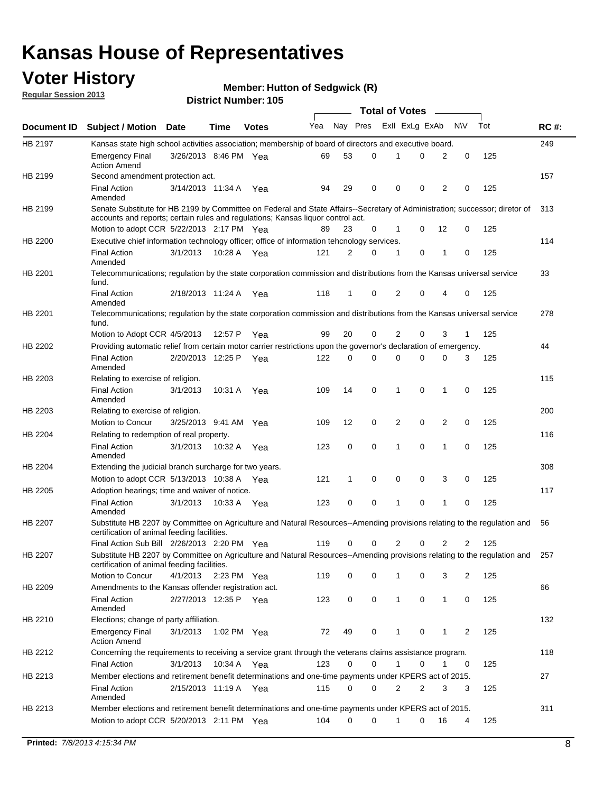### **Voter History**

**Member: Hutton of Sedgwick (R)** 

**Regular Session 2013**

|                |                                                                                                                                                                             |                       |             |              |     |          |          | <b>Total of Votes</b> |   |              |            |     |             |
|----------------|-----------------------------------------------------------------------------------------------------------------------------------------------------------------------------|-----------------------|-------------|--------------|-----|----------|----------|-----------------------|---|--------------|------------|-----|-------------|
| Document ID    | <b>Subject / Motion Date</b>                                                                                                                                                |                       | Time        | <b>Votes</b> | Yea | Nay Pres |          | Exll ExLg ExAb        |   |              | <b>N/A</b> | Tot | <b>RC#:</b> |
| HB 2197        | Kansas state high school activities association; membership of board of directors and executive board.                                                                      |                       |             |              |     |          |          |                       |   |              |            |     | 249         |
|                | <b>Emergency Final</b><br><b>Action Amend</b>                                                                                                                               | 3/26/2013 8:46 PM Yea |             |              | 69  | 53       | 0        |                       | 0 | 2            | 0          | 125 |             |
| HB 2199        | Second amendment protection act.                                                                                                                                            |                       |             |              |     |          |          |                       |   |              |            |     | 157         |
|                | <b>Final Action</b><br>Amended                                                                                                                                              | 3/14/2013 11:34 A     |             | Yea          | 94  | 29       | 0        | 0                     | 0 | 2            | 0          | 125 |             |
| HB 2199        | Senate Substitute for HB 2199 by Committee on Federal and State Affairs--Secretary of Administration; successor; diretor of                                                 |                       |             |              |     |          |          |                       |   |              |            |     | 313         |
|                | accounts and reports; certain rules and regulations; Kansas liquor control act.                                                                                             |                       |             |              |     |          |          |                       |   |              |            |     |             |
|                | Motion to adopt CCR 5/22/2013 2:17 PM Yea                                                                                                                                   |                       |             |              | 89  | 23       | 0        | 1                     | 0 | 12           | 0          | 125 |             |
| HB 2200        | Executive chief information technology officer; office of information tehcnology services.                                                                                  |                       |             |              |     |          |          |                       |   |              |            |     | 114         |
|                | <b>Final Action</b><br>Amended                                                                                                                                              | 3/1/2013              | 10:28 A     | Yea          | 121 | 2        | 0        | 1                     | 0 | 1            | 0          | 125 |             |
| HB 2201        | Telecommunications; regulation by the state corporation commission and distributions from the Kansas universal service<br>fund.                                             |                       |             |              |     |          |          |                       |   |              |            |     | 33          |
|                | <b>Final Action</b><br>Amended                                                                                                                                              | 2/18/2013 11:24 A     |             | Yea          | 118 | 1        | 0        | 2                     | 0 | 4            | 0          | 125 |             |
| HB 2201        | Telecommunications; regulation by the state corporation commission and distributions from the Kansas universal service<br>fund.                                             |                       |             |              |     |          |          |                       |   |              |            |     | 278         |
|                | Motion to Adopt CCR 4/5/2013                                                                                                                                                |                       | 12:57 P     | Yea          | 99  | 20       | 0        | 2                     | 0 | 3            | 1          | 125 |             |
| HB 2202        | Providing automatic relief from certain motor carrier restrictions upon the governor's declaration of emergency.                                                            |                       |             |              |     |          |          |                       |   |              |            |     | 44          |
|                | <b>Final Action</b><br>Amended                                                                                                                                              | 2/20/2013 12:25 P     |             | Yea          | 122 | 0        | 0        | 0                     | 0 | 0            | 3          | 125 |             |
| HB 2203        | Relating to exercise of religion.                                                                                                                                           |                       |             |              |     |          |          |                       |   |              |            |     | 115         |
|                | <b>Final Action</b><br>Amended                                                                                                                                              | 3/1/2013              | 10:31 A     | Yea          | 109 | 14       | 0        | 1                     | 0 | 1            | 0          | 125 |             |
| HB 2203        | Relating to exercise of religion.                                                                                                                                           |                       |             |              |     |          |          |                       |   |              |            |     | 200         |
|                | Motion to Concur                                                                                                                                                            | 3/25/2013 9:41 AM     |             | Yea          | 109 | 12       | 0        | 2                     | 0 | 2            | 0          | 125 |             |
| HB 2204        | Relating to redemption of real property.                                                                                                                                    |                       |             |              |     |          |          |                       |   |              |            |     | 116         |
|                | <b>Final Action</b><br>Amended                                                                                                                                              | 3/1/2013              | 10:32 A     | Yea          | 123 | 0        | 0        | 1                     | 0 | 1            | 0          | 125 |             |
| HB 2204        | Extending the judicial branch surcharge for two years.                                                                                                                      |                       |             |              |     |          |          |                       |   |              |            |     | 308         |
|                | Motion to adopt CCR 5/13/2013 10:38 A                                                                                                                                       |                       |             | Yea          | 121 | 1        | 0        | 0                     | 0 | 3            | 0          | 125 |             |
| HB 2205        | Adoption hearings; time and waiver of notice.                                                                                                                               |                       |             |              |     |          |          |                       |   |              |            |     | 117         |
|                | <b>Final Action</b><br>Amended                                                                                                                                              | 3/1/2013              | 10:33 A Yea |              | 123 | 0        | 0        | 1                     | 0 | 1            | 0          | 125 |             |
| HB 2207        | Substitute HB 2207 by Committee on Agriculture and Natural Resources--Amending provisions relating to the regulation and<br>certification of animal feeding facilities.     |                       |             |              |     |          |          |                       |   |              |            |     | 56          |
|                | Final Action Sub Bill 2/26/2013 2:20 PM Yea                                                                                                                                 |                       |             |              | 119 | 0        | 0        | 2                     | 0 | 2            | 2          | 125 |             |
| <b>HB 2207</b> | Substitute HB 2207 by Committee on Agriculture and Natural Resources--Amending provisions relating to the regulation and 257<br>certification of animal feeding facilities. |                       |             |              |     |          |          |                       |   |              |            |     |             |
|                | Motion to Concur                                                                                                                                                            | 4/1/2013 2:23 PM Yea  |             |              | 119 | 0        | 0        | 1                     | 0 | 3            | 2          | 125 |             |
| HB 2209        | Amendments to the Kansas offender registration act.                                                                                                                         |                       |             |              |     |          |          |                       |   |              |            |     | 66          |
|                | Final Action<br>Amended                                                                                                                                                     | 2/27/2013 12:35 P Yea |             |              | 123 | 0        | 0        | $\mathbf{1}$          | 0 | $\mathbf{1}$ | 0          | 125 |             |
| HB 2210        | Elections; change of party affiliation.                                                                                                                                     |                       |             |              |     |          |          |                       |   |              |            |     | 132         |
|                | <b>Emergency Final</b><br><b>Action Amend</b>                                                                                                                               | 3/1/2013              |             | 1:02 PM Yea  | 72  | 49       | 0        |                       | 0 | 1            | 2          | 125 |             |
| HB 2212        | Concerning the requirements to receiving a service grant through the veterans claims assistance program.                                                                    |                       |             |              |     |          |          |                       |   |              |            |     | 118         |
|                | Final Action                                                                                                                                                                | 3/1/2013              | 10:34 A Yea |              | 123 | 0        | 0        | $\mathbf{1}$          | 0 | 1            | 0          | 125 |             |
| HB 2213        | Member elections and retirement benefit determinations and one-time payments under KPERS act of 2015.                                                                       |                       |             |              |     |          |          |                       |   |              |            |     | 27          |
|                | <b>Final Action</b><br>Amended                                                                                                                                              | 2/15/2013 11:19 A Yea |             |              | 115 | 0        | 0        | 2                     | 2 | 3            | 3          | 125 |             |
| HB 2213        | Member elections and retirement benefit determinations and one-time payments under KPERS act of 2015.                                                                       |                       |             |              |     |          |          |                       |   |              |            |     | 311         |
|                | Motion to adopt CCR 5/20/2013 2:11 PM Yea                                                                                                                                   |                       |             |              | 104 | $\Omega$ | $\Omega$ | 1                     | 0 | 16           | 4          | 125 |             |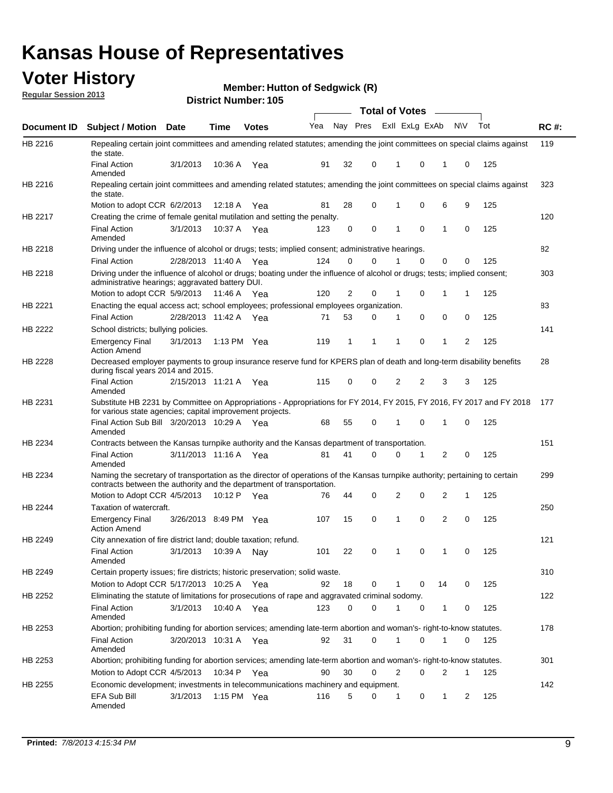### **Voter History**

**Member: Hutton of Sedgwick (R)** 

**Regular Session 2013**

|             |                                                                                                                                                                                                       |                         |             |               |     |          |          | <b>Total of Votes</b> |          | $\overline{\phantom{a}}$ |           |     |             |
|-------------|-------------------------------------------------------------------------------------------------------------------------------------------------------------------------------------------------------|-------------------------|-------------|---------------|-----|----------|----------|-----------------------|----------|--------------------------|-----------|-----|-------------|
| Document ID | Subject / Motion Date                                                                                                                                                                                 |                         | <b>Time</b> | <b>Votes</b>  | Yea | Nay Pres |          | Exll ExLg ExAb        |          |                          | <b>NV</b> | Tot | <b>RC#:</b> |
| HB 2216     | Repealing certain joint committees and amending related statutes; amending the joint committees on special claims against<br>the state.                                                               |                         |             |               |     |          |          |                       |          |                          |           |     | 119         |
|             | <b>Final Action</b><br>Amended                                                                                                                                                                        | 3/1/2013                | 10:36 A     | Yea           | 91  | 32       | 0        | 1                     | 0        | 1                        | 0         | 125 |             |
| HB 2216     | Repealing certain joint committees and amending related statutes; amending the joint committees on special claims against<br>the state.                                                               |                         |             |               |     |          |          |                       |          |                          |           |     | 323         |
|             | Motion to adopt CCR 6/2/2013                                                                                                                                                                          |                         | 12:18 A     | Yea           | 81  | 28       | 0        | 1                     | 0        | 6                        | 9         | 125 |             |
| HB 2217     | Creating the crime of female genital mutilation and setting the penalty.                                                                                                                              |                         |             |               |     |          |          |                       |          |                          |           |     | 120         |
|             | <b>Final Action</b><br>Amended                                                                                                                                                                        | 3/1/2013                |             | 10:37 A Yea   | 123 | 0        | 0        | 1                     | 0        | 1                        | 0         | 125 |             |
| HB 2218     | Driving under the influence of alcohol or drugs; tests; implied consent; administrative hearings.                                                                                                     |                         |             |               |     |          |          |                       |          |                          |           |     | 82          |
|             | <b>Final Action</b>                                                                                                                                                                                   | 2/28/2013 11:40 A Yea   |             |               | 124 | 0        | $\Omega$ |                       | $\Omega$ | 0                        | 0         | 125 |             |
| HB 2218     | Driving under the influence of alcohol or drugs; boating under the influence of alcohol or drugs; tests; implied consent;<br>administrative hearings; aggravated battery DUI.                         |                         |             |               |     |          |          |                       |          |                          |           |     | 303         |
|             | Motion to adopt CCR 5/9/2013                                                                                                                                                                          |                         | 11:46 A Yea |               | 120 | 2        | 0        | 1                     | 0        | 1                        | 1         | 125 |             |
| HB 2221     | Enacting the equal access act; school employees; professional employees organization.                                                                                                                 |                         |             |               |     |          |          |                       |          |                          |           |     | 83          |
|             | <b>Final Action</b>                                                                                                                                                                                   | 2/28/2013 11:42 A Yea   |             |               | 71  | 53       | 0        | 1                     | 0        | 0                        | 0         | 125 |             |
| HB 2222     | School districts; bullying policies.<br>Emergency Final                                                                                                                                               | 3/1/2013                |             | 1:13 PM $Yea$ | 119 | 1        | 1        | 1                     | 0        | 1                        | 2         | 125 | 141         |
| HB 2228     | <b>Action Amend</b><br>Decreased employer payments to group insurance reserve fund for KPERS plan of death and long-term disability benefits<br>during fiscal years 2014 and 2015.                    |                         |             |               |     |          |          |                       |          |                          |           |     | 28          |
|             | <b>Final Action</b><br>Amended                                                                                                                                                                        | 2/15/2013 11:21 A Yea   |             |               | 115 | 0        | 0        | 2                     | 2        | 3                        | 3         | 125 |             |
| HB 2231     | Substitute HB 2231 by Committee on Appropriations - Appropriations for FY 2014, FY 2015, FY 2016, FY 2017 and FY 2018 177<br>for various state agencies; capital improvement projects.                |                         |             |               |     |          |          |                       |          |                          |           |     |             |
|             | Final Action Sub Bill 3/20/2013 10:29 A Yea<br>Amended                                                                                                                                                |                         |             |               | 68  | 55       | 0        | 1                     | 0        | 1                        | 0         | 125 |             |
| HB 2234     | Contracts between the Kansas turnpike authority and the Kansas department of transportation.                                                                                                          |                         |             |               |     |          |          |                       |          |                          |           |     | 151         |
|             | <b>Final Action</b><br>Amended                                                                                                                                                                        | 3/11/2013 11:16 A       |             | Yea           | 81  | 41       | 0        | 0                     | 1        | 2                        | 0         | 125 |             |
| HB 2234     | Naming the secretary of transportation as the director of operations of the Kansas turnpike authority; pertaining to certain<br>contracts between the authority and the department of transportation. |                         |             |               |     |          |          |                       |          |                          |           |     | 299         |
|             | Motion to Adopt CCR 4/5/2013                                                                                                                                                                          |                         |             | 10:12 P Yea   | 76  | 44       | 0        | 2                     | 0        | 2                        | 1         | 125 |             |
| HB 2244     | Taxation of watercraft.<br><b>Emergency Final</b>                                                                                                                                                     | 3/26/2013 8:49 PM Yea   |             |               | 107 | 15       | 0        | 1                     | 0        | 2                        | 0         | 125 | 250         |
|             | <b>Action Amend</b>                                                                                                                                                                                   |                         |             |               |     |          |          |                       |          |                          |           |     |             |
| HB 2249     | City annexation of fire district land; double taxation; refund.                                                                                                                                       |                         |             |               |     |          |          |                       |          |                          |           |     | 121         |
|             | Final Action<br>Amended                                                                                                                                                                               | 3/1/2013  10:39 A   Nay |             |               | 101 | 22       | 0        | $\mathbf{1}$          | $\Omega$ | $\mathbf{1}$             | 0         | 125 |             |
| HB 2249     | Certain property issues; fire districts; historic preservation; solid waste.                                                                                                                          |                         |             |               |     |          |          |                       |          |                          |           |     | 310         |
|             | Motion to Adopt CCR 5/17/2013 10:25 A Yea                                                                                                                                                             |                         |             |               | 92  | 18       | 0        |                       | 0        | 14                       | 0         | 125 |             |
| HB 2252     | Eliminating the statute of limitations for prosecutions of rape and aggravated criminal sodomy.                                                                                                       |                         |             |               |     |          |          |                       |          |                          |           |     | 122         |
|             | <b>Final Action</b><br>Amended                                                                                                                                                                        | 3/1/2013                | 10:40 A Yea |               | 123 | 0        | 0        |                       | 0        | 1                        | 0         | 125 |             |
| HB 2253     | Abortion; prohibiting funding for abortion services; amending late-term abortion and woman's- right-to-know statutes.                                                                                 |                         |             |               |     |          |          |                       |          |                          |           |     | 178         |
|             | <b>Final Action</b><br>Amended                                                                                                                                                                        | 3/20/2013 10:31 A Yea   |             |               | 92  | 31       | 0        | 1                     | 0        | 1                        | 0         | 125 |             |
| HB 2253     | Abortion; prohibiting funding for abortion services; amending late-term abortion and woman's- right-to-know statutes.                                                                                 |                         |             |               |     |          |          |                       |          |                          |           |     | 301         |
|             | Motion to Adopt CCR 4/5/2013                                                                                                                                                                          |                         | 10:34 P Yea |               | 90  | 30       | 0        | 2                     | 0        | 2                        | 1         | 125 |             |
| HB 2255     | Economic development; investments in telecommunications machinery and equipment.                                                                                                                      |                         |             |               |     |          |          |                       |          |                          |           |     | 142         |
|             | EFA Sub Bill<br>Amended                                                                                                                                                                               | 3/1/2013                |             | 1:15 PM Yea   | 116 | 5        | 0        | -1                    | 0        | 1                        | 2         | 125 |             |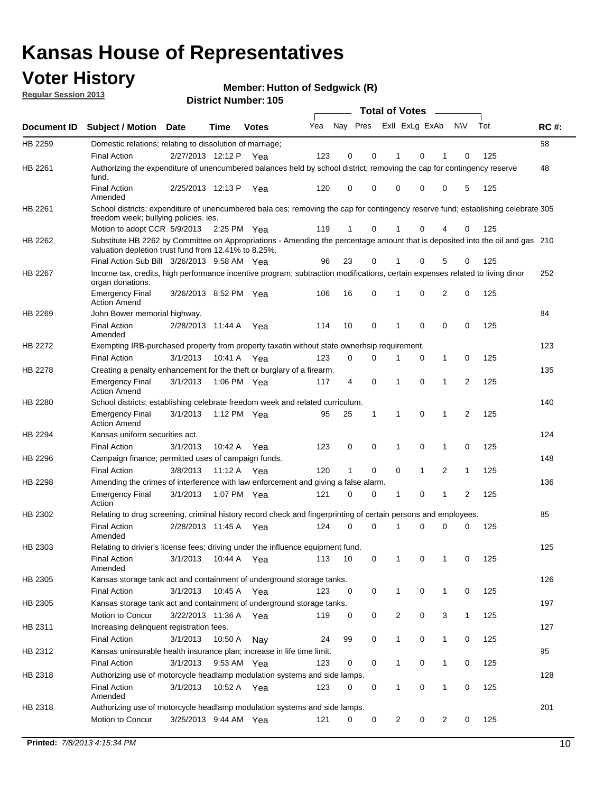### **Voter History**

**Member: Hutton of Sedgwick (R)** 

**Regular Session 2013**

|             |                                                                                                                                                                                       |                       |             |              |     |                         |              | <b>Total of Votes</b> |              | $\sim$         |                |     |             |
|-------------|---------------------------------------------------------------------------------------------------------------------------------------------------------------------------------------|-----------------------|-------------|--------------|-----|-------------------------|--------------|-----------------------|--------------|----------------|----------------|-----|-------------|
| Document ID | <b>Subject / Motion</b>                                                                                                                                                               | Date                  | <b>Time</b> | <b>Votes</b> | Yea | Nay Pres ExII ExLg ExAb |              |                       |              |                | N\V            | Tot | <b>RC#:</b> |
| HB 2259     | Domestic relations; relating to dissolution of marriage;                                                                                                                              |                       |             |              |     |                         |              |                       |              |                |                |     | 58          |
|             | <b>Final Action</b>                                                                                                                                                                   | 2/27/2013 12:12 P Yea |             |              | 123 | $\mathbf 0$             | 0            | 1                     | $\Omega$     | 1              | 0              | 125 |             |
| HB 2261     | Authorizing the expenditure of unencumbered balances held by school district; removing the cap for contingency reserve<br>fund.                                                       |                       |             |              |     |                         |              |                       |              |                |                |     | 48          |
|             | <b>Final Action</b><br>Amended                                                                                                                                                        | 2/25/2013 12:13 P     |             | Yea          | 120 | 0                       | 0            | 0                     | 0            | 0              | 5              | 125 |             |
| HB 2261     | School districts; expenditure of unencumbered bala ces; removing the cap for contingency reserve fund; establishing celebrate 305<br>freedom week; bullying policies, ies.            |                       |             |              |     |                         |              |                       |              |                |                |     |             |
|             | Motion to adopt CCR 5/9/2013                                                                                                                                                          |                       | 2:25 PM Yea |              | 119 | $\mathbf{1}$            | 0            | 1                     | 0            | 4              | 0              | 125 |             |
| HB 2262     | Substitute HB 2262 by Committee on Appropriations - Amending the percentage amount that is deposited into the oil and gas 210<br>valuation depletion trust fund from 12.41% to 8.25%. |                       |             |              |     |                         |              |                       |              |                |                |     |             |
|             | Final Action Sub Bill 3/26/2013 9:58 AM Yea                                                                                                                                           |                       |             |              | 96  | 23                      | 0            |                       | 0            | 5              | 0              | 125 |             |
| HB 2267     | Income tax, credits, high performance incentive program; subtraction modifications, certain expenses related to living dinor<br>organ donations.                                      |                       |             |              |     |                         |              |                       |              |                |                |     | 252         |
|             | <b>Emergency Final</b><br><b>Action Amend</b>                                                                                                                                         | 3/26/2013 8:52 PM Yea |             |              | 106 | 16                      | 0            | 1                     | 0            | 2              | 0              | 125 |             |
| HB 2269     | John Bower memorial highway.                                                                                                                                                          |                       |             |              |     |                         |              |                       |              |                |                |     | 84          |
|             | <b>Final Action</b><br>Amended                                                                                                                                                        | 2/28/2013 11:44 A     |             | Yea          | 114 | 10                      | $\mathbf 0$  | $\mathbf 1$           | $\mathbf 0$  | 0              | $\mathbf 0$    | 125 |             |
| HB 2272     | Exempting IRB-purchased property from property taxatin without state ownerhsip requirement.                                                                                           |                       |             |              |     |                         |              |                       |              |                |                |     | 123         |
|             | <b>Final Action</b>                                                                                                                                                                   | 3/1/2013              | 10:41 A     | Yea          | 123 | 0                       | 0            | 1                     | 0            | 1              | 0              | 125 |             |
| HB 2278     | Creating a penalty enhancement for the theft or burglary of a firearm.                                                                                                                |                       |             |              |     |                         |              |                       |              |                |                |     | 135         |
|             | <b>Emergency Final</b><br><b>Action Amend</b>                                                                                                                                         | 3/1/2013              | 1:06 PM Yea |              | 117 | 4                       | 0            | 1                     | 0            | 1              | $\overline{2}$ | 125 |             |
| HB 2280     | School districts; establishing celebrate freedom week and related curriculum.                                                                                                         |                       |             |              |     |                         |              |                       |              |                |                |     | 140         |
|             | <b>Emergency Final</b><br><b>Action Amend</b>                                                                                                                                         | 3/1/2013              | 1:12 PM Yea |              | 95  | 25                      | $\mathbf{1}$ | $\mathbf{1}$          | 0            | 1              | 2              | 125 |             |
| HB 2294     | Kansas uniform securities act.                                                                                                                                                        |                       |             |              |     |                         |              |                       |              |                |                |     | 124         |
|             | <b>Final Action</b>                                                                                                                                                                   | 3/1/2013              | 10:42 A Yea |              | 123 | 0                       | 0            | 1                     | 0            | 1              | 0              | 125 |             |
| HB 2296     | Campaign finance; permitted uses of campaign funds.                                                                                                                                   |                       |             |              |     |                         |              |                       |              |                |                |     | 148         |
|             | <b>Final Action</b>                                                                                                                                                                   | 3/8/2013              | 11:12 A Yea |              | 120 | $\mathbf{1}$            | 0            | 0                     | $\mathbf{1}$ | $\overline{2}$ | $\mathbf{1}$   | 125 |             |
| HB 2298     | Amending the crimes of interference with law enforcement and giving a false alarm.                                                                                                    |                       |             |              |     |                         |              |                       |              |                |                |     | 136         |
|             | <b>Emergency Final</b><br>Action                                                                                                                                                      | 3/1/2013              | 1:07 PM Yea |              | 121 | 0                       | 0            | 1                     | 0            | $\mathbf 1$    | 2              | 125 |             |
| HB 2302     | Relating to drug screening, criminal history record check and fingerprinting of certain persons and employees.                                                                        |                       |             |              |     |                         |              |                       |              |                |                |     | 85          |
|             | <b>Final Action</b><br>Amended                                                                                                                                                        | 2/28/2013 11:45 A     |             | Yea          | 124 | 0                       | 0            | $\mathbf 1$           | 0            | 0              | 0              | 125 |             |
| HB 2303     | Relating to drivier's license fees; driving under the influence equipment fund.                                                                                                       |                       |             |              |     |                         |              |                       |              |                |                |     | 125         |
|             | <b>Final Action</b><br>Amended                                                                                                                                                        | 3/1/2013              | 10:44 A     | Yea          | 113 | 10                      | 0            | 1                     | 0            | 1              | 0              | 125 |             |
| HB 2305     | Kansas storage tank act and containment of underground storage tanks.                                                                                                                 |                       |             |              |     |                         |              |                       |              |                |                |     | 126         |
|             | <b>Final Action</b>                                                                                                                                                                   | 3/1/2013              | 10:45 A     | Yea          | 123 | 0                       | 0            | $\mathbf{1}$          | 0            | 1              | 0              | 125 |             |
| HB 2305     | Kansas storage tank act and containment of underground storage tanks.                                                                                                                 |                       |             |              |     |                         |              |                       |              |                |                |     | 197         |
|             | Motion to Concur                                                                                                                                                                      | 3/22/2013 11:36 A     |             | Yea          | 119 | 0                       | 0            | 2                     | 0            | 3              | $\mathbf{1}$   | 125 |             |
| HB 2311     | Increasing delinquent registration fees.                                                                                                                                              |                       |             |              |     |                         |              |                       |              |                |                |     | 127         |
|             | <b>Final Action</b>                                                                                                                                                                   | 3/1/2013              | 10:50 A     | Nay          | 24  | 99                      | 0            | $\mathbf 1$           | 0            | 1              | 0              | 125 |             |
| HB 2312     | Kansas uninsurable health insurance plan; increase in life time limit.                                                                                                                |                       |             |              |     |                         |              |                       |              |                |                |     | 95          |
|             | <b>Final Action</b>                                                                                                                                                                   | 3/1/2013              | 9:53 AM Yea |              | 123 | 0                       | 0            | $\mathbf 1$           | 0            | 1              | 0              | 125 |             |
| HB 2318     | Authorizing use of motorcycle headlamp modulation systems and side lamps.                                                                                                             |                       |             |              |     |                         |              |                       |              |                |                |     | 128         |
|             | <b>Final Action</b><br>Amended                                                                                                                                                        | 3/1/2013              | 10:52 A Yea |              | 123 | 0                       | 0            | 1                     | 0            | 1              | 0              | 125 |             |
| HB 2318     | Authorizing use of motorcycle headlamp modulation systems and side lamps.                                                                                                             |                       |             |              |     |                         |              |                       |              |                |                |     | 201         |
|             | Motion to Concur                                                                                                                                                                      | 3/25/2013 9:44 AM Yea |             |              | 121 | 0                       | 0            | $\overline{2}$        | 0            | 2              | 0              | 125 |             |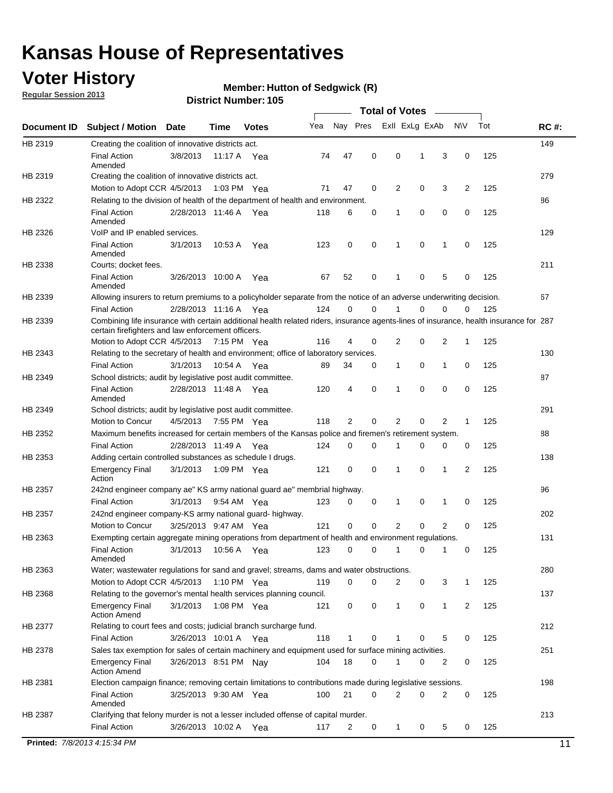### **Voter History**

**Regular Session 2013**

#### **Member: Hutton of Sedgwick (R)**

|                              |                                                                                                                                                                                             |                       |             | <b>DISTINE MATTION 1109</b> |     |             |             | Total of Votes _____ |   |                |                |     |             |
|------------------------------|---------------------------------------------------------------------------------------------------------------------------------------------------------------------------------------------|-----------------------|-------------|-----------------------------|-----|-------------|-------------|----------------------|---|----------------|----------------|-----|-------------|
| <b>Document ID</b>           | <b>Subject / Motion</b>                                                                                                                                                                     | Date                  | <b>Time</b> | <b>Votes</b>                | Yea | Nay Pres    |             | Exll ExLg ExAb       |   |                | <b>NV</b>      | Tot | <b>RC#:</b> |
| HB 2319                      | Creating the coalition of innovative districts act.                                                                                                                                         |                       |             |                             |     |             |             |                      |   |                |                |     | 149         |
|                              | <b>Final Action</b><br>Amended                                                                                                                                                              | 3/8/2013              | 11:17 A Yea |                             | 74  | 47          | 0           | 0                    | 1 | 3              | 0              | 125 |             |
| HB 2319                      | Creating the coalition of innovative districts act.                                                                                                                                         |                       |             |                             |     |             |             |                      |   |                |                |     | 279         |
|                              | Motion to Adopt CCR 4/5/2013                                                                                                                                                                |                       | 1:03 PM Yea |                             | 71  | 47          | 0           | 2                    | 0 | 3              | $\overline{2}$ | 125 |             |
| HB 2322                      | Relating to the division of health of the department of health and environment.                                                                                                             |                       |             |                             |     |             |             |                      |   |                |                |     | 86          |
|                              | <b>Final Action</b><br>Amended                                                                                                                                                              | 2/28/2013 11:46 A Yea |             |                             | 118 | 6           | 0           | 1                    | 0 | 0              | 0              | 125 |             |
| HB 2326                      | VoIP and IP enabled services.                                                                                                                                                               |                       |             |                             |     |             |             |                      |   |                |                |     | 129         |
|                              | <b>Final Action</b><br>Amended                                                                                                                                                              | 3/1/2013              | 10:53 A     | Yea                         | 123 | $\mathbf 0$ | 0           | 1                    | 0 | 1              | 0              | 125 |             |
| HB 2338                      | Courts; docket fees.                                                                                                                                                                        |                       |             |                             |     |             |             |                      |   |                |                |     | 211         |
|                              | <b>Final Action</b><br>Amended                                                                                                                                                              | 3/26/2013 10:00 A     |             | Yea                         | 67  | 52          | 0           | $\mathbf{1}$         | 0 | 5              | 0              | 125 |             |
| HB 2339                      | Allowing insurers to return premiums to a policyholder separate from the notice of an adverse underwriting decision.                                                                        |                       |             |                             |     |             |             |                      |   |                |                |     | 67          |
|                              | <b>Final Action</b>                                                                                                                                                                         | 2/28/2013 11:16 A Yea |             |                             | 124 | 0           | 0           | 1                    | 0 | 0              | 0              | 125 |             |
| HB 2339                      | Combining life insurance with certain additional health related riders, insurance agents-lines of insurance, health insurance for 287<br>certain firefighters and law enforcement officers. |                       |             |                             |     |             |             |                      |   |                |                |     |             |
|                              | Motion to Adopt CCR 4/5/2013 7:15 PM Yea                                                                                                                                                    |                       |             |                             | 116 | 4           | 0           | $\overline{2}$       | 0 | 2              | 1              | 125 |             |
| HB 2343                      | Relating to the secretary of health and environment; office of laboratory services.                                                                                                         |                       |             |                             |     |             |             |                      |   |                |                |     | 130         |
|                              | <b>Final Action</b>                                                                                                                                                                         | 3/1/2013              | 10:54 A     | Yea                         | 89  | 34          | 0           | $\mathbf{1}$         | 0 | 1              | 0              | 125 |             |
| HB 2349                      | School districts; audit by legislative post audit committee.                                                                                                                                |                       |             |                             |     |             |             |                      |   |                |                |     | 87          |
|                              | <b>Final Action</b><br>Amended                                                                                                                                                              | 2/28/2013 11:48 A Yea |             |                             | 120 | 4           | 0           | 1                    | 0 | 0              | 0              | 125 |             |
| HB 2349                      | School districts; audit by legislative post audit committee.                                                                                                                                |                       |             |                             |     |             |             |                      |   |                |                |     | 291         |
|                              | Motion to Concur                                                                                                                                                                            | 4/5/2013              | 7:55 PM Yea |                             | 118 | 2           | 0           | 2                    | 0 | 2              | 1              | 125 |             |
| HB 2352                      | Maximum benefits increased for certain members of the Kansas police and firemen's retirement system.                                                                                        |                       |             |                             |     |             |             |                      |   |                |                |     | 88          |
|                              | <b>Final Action</b>                                                                                                                                                                         | 2/28/2013 11:49 A Yea |             |                             | 124 | 0           | 0           | 1                    | 0 | 0              | 0              | 125 |             |
| HB 2353                      | Adding certain controlled substances as schedule I drugs.                                                                                                                                   |                       |             |                             |     |             |             |                      |   |                |                |     | 138         |
|                              | <b>Emergency Final</b><br>Action                                                                                                                                                            | 3/1/2013              | 1:09 PM Yea |                             | 121 | 0           | 0           | $\mathbf{1}$         | 0 | 1              | 2              | 125 |             |
| HB 2357                      | 242nd engineer company ae" KS army national guard ae" membrial highway.                                                                                                                     |                       |             |                             |     |             |             |                      |   |                |                |     | 96          |
|                              | <b>Final Action</b>                                                                                                                                                                         | 3/1/2013 9:54 AM Yea  |             |                             | 123 | 0           | 0           | $\mathbf{1}$         | 0 | $\mathbf 1$    | 0              | 125 |             |
| HB 2357                      | 242nd engineer company-KS army national guard- highway.                                                                                                                                     |                       |             |                             |     |             |             |                      |   |                |                |     | 202         |
|                              | Motion to Concur                                                                                                                                                                            | 3/25/2013 9:47 AM Yea |             |                             | 121 | $\mathbf 0$ | $\mathbf 0$ | $\overline{2}$       | 0 | $\overline{2}$ | 0              | 125 |             |
| HB 2363                      | Exempting certain aggregate mining operations from department of health and environment regulations.                                                                                        |                       |             |                             |     |             |             |                      |   |                |                |     | 131         |
|                              | Final Action 3/1/2013 10:56 A Yea<br>Amended                                                                                                                                                |                       |             |                             |     |             |             | 123 0 0 1 0 1 0      |   |                |                | 125 |             |
| HB 2363                      | Water; wastewater regulations for sand and gravel; streams, dams and water obstructions.                                                                                                    |                       |             |                             |     |             |             |                      |   |                |                |     | 280         |
|                              | Motion to Adopt CCR 4/5/2013                                                                                                                                                                |                       | 1:10 PM Yea |                             | 119 | 0           | 0           | 2                    | 0 | 3              | 1              | 125 |             |
| HB 2368                      | Relating to the governor's mental health services planning council.                                                                                                                         |                       |             |                             |     |             |             |                      |   |                |                |     | 137         |
|                              | <b>Emergency Final</b><br><b>Action Amend</b>                                                                                                                                               | 3/1/2013              | 1:08 PM Yea |                             | 121 | 0           | 0           | $\mathbf{1}$         | 0 | 1              | $\overline{2}$ | 125 |             |
| HB 2377                      | Relating to court fees and costs; judicial branch surcharge fund.                                                                                                                           |                       |             |                             |     |             |             |                      |   |                |                |     | 212         |
|                              | <b>Final Action</b>                                                                                                                                                                         | 3/26/2013 10:01 A Yea |             |                             | 118 |             | 0           |                      | 0 | 5              | 0              | 125 |             |
| HB 2378                      | Sales tax exemption for sales of certain machinery and equipment used for surface mining activities.                                                                                        |                       |             |                             |     |             |             |                      |   |                |                |     | 251         |
|                              | <b>Emergency Final</b><br><b>Action Amend</b>                                                                                                                                               | 3/26/2013 8:51 PM Nay |             |                             | 104 | 18          | 0           | 1                    | 0 | 2              | 0              | 125 |             |
| HB 2381                      | Election campaign finance; removing certain limitations to contributions made during legislative sessions.                                                                                  |                       |             |                             |     |             |             |                      |   |                |                |     | 198         |
|                              | <b>Final Action</b><br>Amended                                                                                                                                                              | 3/25/2013 9:30 AM Yea |             |                             | 100 | 21          | 0           | 2                    | 0 | 2              | 0              | 125 |             |
| HB 2387                      | Clarifying that felony murder is not a lesser included offense of capital murder.                                                                                                           |                       |             |                             |     |             |             |                      |   |                |                |     | 213         |
|                              | <b>Final Action</b>                                                                                                                                                                         | 3/26/2013 10:02 A Yea |             |                             | 117 | 2           | 0           | $\mathbf{1}$         | 0 | 5              | 0              | 125 |             |
| Printed: 7/8/2013 4:15:34 PM |                                                                                                                                                                                             |                       |             |                             |     |             |             |                      |   |                |                |     | 11          |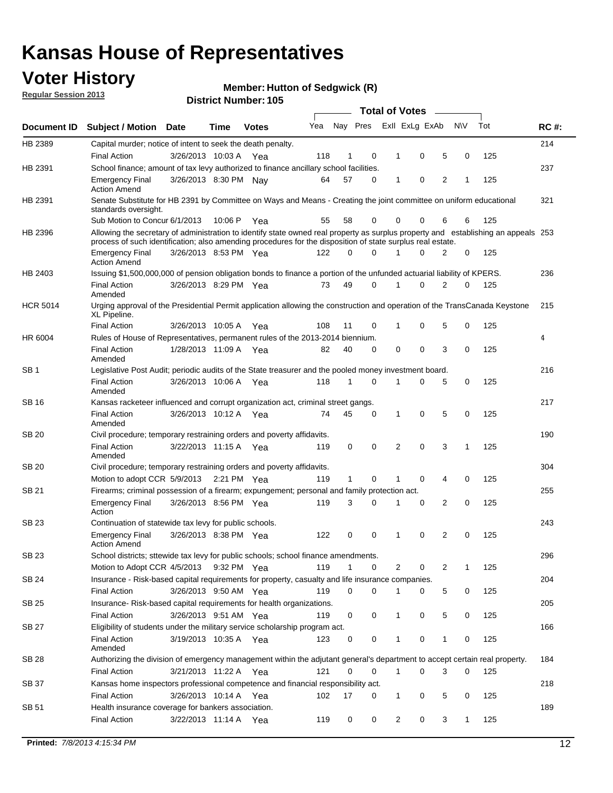### **Voter History**

**Member: Hutton of Sedgwick (R)** 

**Regular Session 2013**

|                 |                                                                                                                                                                                                                                                  |                       |         |              |     |              |          | <b>Total of Votes</b> |   |   |           |     |             |
|-----------------|--------------------------------------------------------------------------------------------------------------------------------------------------------------------------------------------------------------------------------------------------|-----------------------|---------|--------------|-----|--------------|----------|-----------------------|---|---|-----------|-----|-------------|
| Document ID     | Subject / Motion Date                                                                                                                                                                                                                            |                       | Time    | <b>Votes</b> | Yea | Nay Pres     |          | Exll ExLg ExAb        |   |   | <b>NV</b> | Tot | <b>RC#:</b> |
| HB 2389         | Capital murder; notice of intent to seek the death penalty.                                                                                                                                                                                      |                       |         |              |     |              |          |                       |   |   |           |     | 214         |
|                 | <b>Final Action</b>                                                                                                                                                                                                                              | 3/26/2013 10:03 A     |         | Yea          | 118 | 1            | 0        | 1                     | 0 | 5 | 0         | 125 |             |
| HB 2391         | School finance; amount of tax levy authorized to finance ancillary school facilities.                                                                                                                                                            |                       |         |              |     |              |          |                       |   |   |           |     | 237         |
|                 | <b>Emergency Final</b><br><b>Action Amend</b>                                                                                                                                                                                                    | 3/26/2013 8:30 PM Nay |         |              | 64  | 57           | 0        | 1                     | 0 | 2 | 1         | 125 |             |
| HB 2391         | Senate Substitute for HB 2391 by Committee on Ways and Means - Creating the joint committee on uniform educational<br>standards oversight.                                                                                                       |                       |         |              |     |              |          |                       |   |   |           |     | 321         |
|                 | Sub Motion to Concur 6/1/2013                                                                                                                                                                                                                    |                       | 10:06 P | Yea          | 55  | 58           | 0        | 0                     | 0 | 6 | 6         | 125 |             |
| HB 2396         | Allowing the secretary of administration to identify state owned real property as surplus property and establishing an appeals 253<br>process of such identification; also amending procedures for the disposition of state surplus real estate. |                       |         |              |     |              |          |                       |   |   |           |     |             |
|                 | <b>Emergency Final</b><br><b>Action Amend</b>                                                                                                                                                                                                    | 3/26/2013 8:53 PM Yea |         |              | 122 | 0            | 0        | 1                     | 0 | 2 | 0         | 125 |             |
| HB 2403         | Issuing \$1,500,000,000 of pension obligation bonds to finance a portion of the unfunded actuarial liability of KPERS.                                                                                                                           |                       |         |              |     |              |          |                       |   |   |           |     | 236         |
|                 | <b>Final Action</b><br>Amended                                                                                                                                                                                                                   | 3/26/2013 8:29 PM Yea |         |              | 73  | 49           | 0        | 1                     | 0 | 2 | 0         | 125 |             |
| <b>HCR 5014</b> | Urging approval of the Presidential Permit application allowing the construction and operation of the TransCanada Keystone<br>XL Pipeline.                                                                                                       |                       |         |              |     |              |          |                       |   |   |           |     | 215         |
|                 | <b>Final Action</b>                                                                                                                                                                                                                              | 3/26/2013 10:05 A     |         | Yea          | 108 | 11           | 0        | 1                     | 0 | 5 | 0         | 125 |             |
| HR 6004         | Rules of House of Representatives, permanent rules of the 2013-2014 biennium.                                                                                                                                                                    |                       |         |              |     |              |          |                       |   |   |           |     | 4           |
|                 | <b>Final Action</b><br>Amended                                                                                                                                                                                                                   | 1/28/2013 11:09 A     |         | Yea          | 82  | 40           | 0        | 0                     | 0 | 3 | 0         | 125 |             |
| SB <sub>1</sub> | Legislative Post Audit; periodic audits of the State treasurer and the pooled money investment board.                                                                                                                                            |                       |         |              |     |              |          |                       |   |   |           |     | 216         |
|                 | <b>Final Action</b><br>Amended                                                                                                                                                                                                                   | 3/26/2013 10:06 A Yea |         |              | 118 | $\mathbf 1$  | 0        | 1                     | 0 | 5 | 0         | 125 |             |
| SB 16           | Kansas racketeer influenced and corrupt organization act, criminal street gangs.                                                                                                                                                                 |                       |         |              |     |              |          |                       |   |   |           |     | 217         |
|                 | <b>Final Action</b><br>Amended                                                                                                                                                                                                                   | 3/26/2013 10:12 A Yea |         |              | 74  | 45           | 0        | 1                     | 0 | 5 | 0         | 125 |             |
| SB 20           | Civil procedure; temporary restraining orders and poverty affidavits.                                                                                                                                                                            |                       |         |              |     |              |          |                       |   |   |           |     | 190         |
|                 | <b>Final Action</b><br>Amended                                                                                                                                                                                                                   | 3/22/2013 11:15 A     |         | Yea          | 119 | 0            | 0        | 2                     | 0 | 3 | 1         | 125 |             |
| SB 20           | Civil procedure; temporary restraining orders and poverty affidavits.                                                                                                                                                                            |                       |         |              |     |              |          |                       |   |   |           |     | 304         |
|                 | Motion to adopt CCR 5/9/2013 2:21 PM Yea                                                                                                                                                                                                         |                       |         |              | 119 | $\mathbf{1}$ | 0        | 1                     | 0 | 4 | 0         | 125 |             |
| SB 21           | Firearms; criminal possession of a firearm; expungement; personal and family protection act.                                                                                                                                                     |                       |         |              |     |              |          |                       |   |   |           |     | 255         |
|                 | <b>Emergency Final</b><br>Action                                                                                                                                                                                                                 | 3/26/2013 8:56 PM Yea |         |              | 119 | 3            | 0        | 1                     | 0 | 2 | 0         | 125 |             |
| SB 23           | Continuation of statewide tax levy for public schools.                                                                                                                                                                                           |                       |         |              |     |              |          |                       |   |   |           |     | 243         |
|                 | <b>Emergency Final</b><br><b>Action Amend</b>                                                                                                                                                                                                    | 3/26/2013 8:38 PM Yea |         |              | 122 | 0            | 0        | 1                     | 0 | 2 | 0         | 125 |             |
| SB 23           | School districts; sttewide tax levy for public schools; school finance amendments.                                                                                                                                                               |                       |         |              |     |              |          |                       |   |   |           |     | 296         |
|                 | Motion to Adopt CCR 4/5/2013 9:32 PM Yea                                                                                                                                                                                                         |                       |         |              | 119 | $\mathbf 1$  | 0        | 2                     | 0 | 2 | 1         | 125 |             |
| SB 24           | Insurance - Risk-based capital requirements for property, casualty and life insurance companies.                                                                                                                                                 |                       |         |              |     |              |          |                       |   |   |           |     | 204         |
|                 | <b>Final Action</b>                                                                                                                                                                                                                              | 3/26/2013 9:50 AM Yea |         |              | 119 | 0            | 0        | 1                     | 0 | 5 | 0         | 125 |             |
| SB 25           | Insurance-Risk-based capital requirements for health organizations.                                                                                                                                                                              |                       |         |              |     |              |          |                       |   |   |           |     | 205         |
|                 | <b>Final Action</b>                                                                                                                                                                                                                              | 3/26/2013 9:51 AM Yea |         |              | 119 | 0            | 0        | 1                     | 0 | 5 | 0         | 125 |             |
| SB 27           | Eligibility of students under the military service scholarship program act.                                                                                                                                                                      |                       |         |              |     |              |          |                       |   |   |           |     | 166         |
|                 | <b>Final Action</b><br>Amended                                                                                                                                                                                                                   | 3/19/2013 10:35 A Yea |         |              | 123 | 0            | 0        | 1                     | 0 | 1 | 0         | 125 |             |
| SB 28           | Authorizing the division of emergency management within the adjutant general's department to accept certain real property.                                                                                                                       |                       |         |              |     |              |          |                       |   |   |           |     | 184         |
|                 | Final Action                                                                                                                                                                                                                                     | 3/21/2013 11:22 A Yea |         |              | 121 | 0            | $\Omega$ | 1                     | 0 | 3 | 0         | 125 |             |
| SB 37           | Kansas home inspectors professional competence and financial responsibility act.                                                                                                                                                                 |                       |         |              |     |              |          |                       |   |   |           |     | 218         |
|                 | <b>Final Action</b>                                                                                                                                                                                                                              | 3/26/2013 10:14 A Yea |         |              | 102 | 17           | 0        | 1                     | 0 | 5 | 0         | 125 |             |
| SB 51           | Health insurance coverage for bankers association.                                                                                                                                                                                               |                       |         |              |     |              |          |                       |   |   |           |     | 189         |
|                 | <b>Final Action</b>                                                                                                                                                                                                                              | 3/22/2013 11:14 A Yea |         |              | 119 | 0            | 0        | 2                     | 0 | 3 | 1         | 125 |             |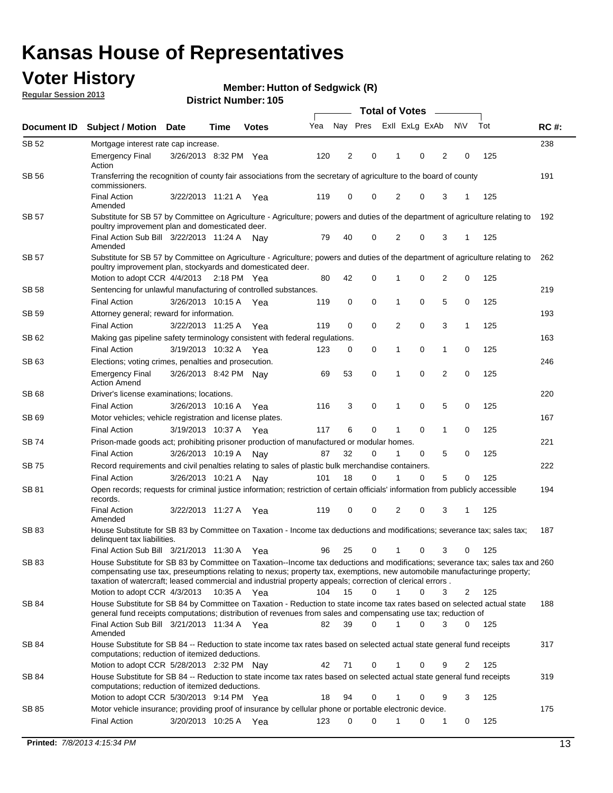### **Voter History**

**Member: Hutton of Sedgwick (R)** 

**Regular Session 2013**

|              |                                                                                                                                                                                                                                                                                                                                                                                                         |                       |             |              |     | <b>Total of Votes</b> |             |                |   |                |             |     |             |  |  |  |  |  |  |  |  |  |
|--------------|---------------------------------------------------------------------------------------------------------------------------------------------------------------------------------------------------------------------------------------------------------------------------------------------------------------------------------------------------------------------------------------------------------|-----------------------|-------------|--------------|-----|-----------------------|-------------|----------------|---|----------------|-------------|-----|-------------|--|--|--|--|--|--|--|--|--|
| Document ID  | <b>Subject / Motion Date</b>                                                                                                                                                                                                                                                                                                                                                                            |                       | Time        | <b>Votes</b> | Yea | Nay Pres              |             | Exll ExLg ExAb |   |                | <b>NV</b>   | Tot | <b>RC#:</b> |  |  |  |  |  |  |  |  |  |
| SB 52        | Mortgage interest rate cap increase.                                                                                                                                                                                                                                                                                                                                                                    |                       |             |              |     |                       |             |                |   |                |             |     | 238         |  |  |  |  |  |  |  |  |  |
|              | <b>Emergency Final</b><br>Action                                                                                                                                                                                                                                                                                                                                                                        | 3/26/2013 8:32 PM Yea |             |              | 120 | 2                     | 0           |                | 0 | 2              | 0           | 125 |             |  |  |  |  |  |  |  |  |  |
| SB 56        | Transferring the recognition of county fair associations from the secretary of agriculture to the board of county<br>commissioners.                                                                                                                                                                                                                                                                     |                       |             |              |     |                       |             |                |   |                |             |     | 191         |  |  |  |  |  |  |  |  |  |
|              | <b>Final Action</b><br>Amended                                                                                                                                                                                                                                                                                                                                                                          | 3/22/2013 11:21 A     |             | Yea          | 119 | 0                     | 0           | 2              | 0 | 3              | 1           | 125 |             |  |  |  |  |  |  |  |  |  |
| SB 57        | Substitute for SB 57 by Committee on Agriculture - Agriculture; powers and duties of the department of agriculture relating to<br>poultry improvement plan and domesticated deer.                                                                                                                                                                                                                       |                       |             |              |     |                       |             |                |   |                |             |     | 192         |  |  |  |  |  |  |  |  |  |
|              | Final Action Sub Bill 3/22/2013 11:24 A<br>Amended                                                                                                                                                                                                                                                                                                                                                      |                       |             | Nav          | 79  | 40                    | 0           | 2              | 0 | 3              | 1           | 125 |             |  |  |  |  |  |  |  |  |  |
| SB 57        | Substitute for SB 57 by Committee on Agriculture - Agriculture; powers and duties of the department of agriculture relating to<br>poultry improvement plan, stockyards and domesticated deer.                                                                                                                                                                                                           |                       |             |              |     |                       |             |                |   |                |             |     | 262         |  |  |  |  |  |  |  |  |  |
|              | Motion to adopt CCR 4/4/2013 2:18 PM Yea                                                                                                                                                                                                                                                                                                                                                                |                       |             |              | 80  | 42                    | 0           | 1              | 0 | 2              | 0           | 125 |             |  |  |  |  |  |  |  |  |  |
| SB 58        | Sentencing for unlawful manufacturing of controlled substances.                                                                                                                                                                                                                                                                                                                                         |                       |             |              |     |                       |             |                |   |                |             |     | 219         |  |  |  |  |  |  |  |  |  |
|              | <b>Final Action</b>                                                                                                                                                                                                                                                                                                                                                                                     | 3/26/2013 10:15 A     |             | Yea          | 119 | 0                     | 0           | 1              | 0 | 5              | 0           | 125 |             |  |  |  |  |  |  |  |  |  |
| <b>SB 59</b> | Attorney general; reward for information.                                                                                                                                                                                                                                                                                                                                                               |                       |             |              |     |                       |             |                |   |                |             |     | 193         |  |  |  |  |  |  |  |  |  |
|              | <b>Final Action</b>                                                                                                                                                                                                                                                                                                                                                                                     | 3/22/2013 11:25 A     |             | Yea          | 119 | 0                     | 0           | 2              | 0 | 3              | 1           | 125 |             |  |  |  |  |  |  |  |  |  |
| SB 62        | Making gas pipeline safety terminology consistent with federal regulations.                                                                                                                                                                                                                                                                                                                             |                       |             |              |     |                       |             |                |   |                |             |     | 163         |  |  |  |  |  |  |  |  |  |
|              | <b>Final Action</b>                                                                                                                                                                                                                                                                                                                                                                                     | 3/19/2013 10:32 A     |             | Yea          | 123 | 0                     | 0           | 1              | 0 | 1              | 0           | 125 |             |  |  |  |  |  |  |  |  |  |
| SB 63        | Elections; voting crimes, penalties and prosecution.                                                                                                                                                                                                                                                                                                                                                    |                       |             |              |     |                       |             |                |   |                |             |     | 246         |  |  |  |  |  |  |  |  |  |
|              | <b>Emergency Final</b><br><b>Action Amend</b>                                                                                                                                                                                                                                                                                                                                                           | 3/26/2013 8:42 PM Nay |             |              | 69  | 53                    | $\mathbf 0$ | 1              | 0 | $\overline{2}$ | $\mathbf 0$ | 125 |             |  |  |  |  |  |  |  |  |  |
| SB 68        | Driver's license examinations; locations.                                                                                                                                                                                                                                                                                                                                                               |                       |             |              |     |                       |             |                |   |                |             |     | 220         |  |  |  |  |  |  |  |  |  |
|              | <b>Final Action</b>                                                                                                                                                                                                                                                                                                                                                                                     | 3/26/2013 10:16 A     |             | Yea          | 116 | 3                     | 0           | 1              | 0 | 5              | 0           | 125 |             |  |  |  |  |  |  |  |  |  |
| SB 69        | Motor vehicles; vehicle registration and license plates.                                                                                                                                                                                                                                                                                                                                                |                       |             |              |     |                       |             |                |   |                |             |     | 167         |  |  |  |  |  |  |  |  |  |
|              | <b>Final Action</b>                                                                                                                                                                                                                                                                                                                                                                                     | 3/19/2013 10:37 A     |             | Yea          | 117 | 6                     | 0           | 1              | 0 | 1              | 0           | 125 |             |  |  |  |  |  |  |  |  |  |
| SB 74        | Prison-made goods act; prohibiting prisoner production of manufactured or modular homes.                                                                                                                                                                                                                                                                                                                |                       |             |              |     |                       |             |                |   |                |             |     | 221         |  |  |  |  |  |  |  |  |  |
|              | <b>Final Action</b>                                                                                                                                                                                                                                                                                                                                                                                     | 3/26/2013 10:19 A     |             | Nay          | 87  | 32                    | 0           | 1              | 0 | 5              | 0           | 125 |             |  |  |  |  |  |  |  |  |  |
| SB 75        | Record requirements and civil penalties relating to sales of plastic bulk merchandise containers.                                                                                                                                                                                                                                                                                                       |                       |             |              |     | 18                    | 0           | 1              | 0 | 5              | 0           | 125 | 222         |  |  |  |  |  |  |  |  |  |
|              | <b>Final Action</b>                                                                                                                                                                                                                                                                                                                                                                                     | 3/26/2013 10:21 A     |             | Nay          | 101 |                       |             |                |   |                |             |     |             |  |  |  |  |  |  |  |  |  |
| SB 81        | Open records; requests for criminal justice information; restriction of certain officials' information from publicly accessible<br>records.<br><b>Final Action</b>                                                                                                                                                                                                                                      | 3/22/2013 11:27 A     |             | Yea          | 119 | 0                     | 0           | 2              | 0 | 3              | 1           | 125 | 194         |  |  |  |  |  |  |  |  |  |
|              | Amended                                                                                                                                                                                                                                                                                                                                                                                                 |                       |             |              |     |                       |             |                |   |                |             |     |             |  |  |  |  |  |  |  |  |  |
| <b>SB83</b>  | House Substitute for SB 83 by Committee on Taxation - Income tax deductions and modifications; severance tax; sales tax;<br>delinquent tax liabilities.                                                                                                                                                                                                                                                 |                       |             |              |     |                       |             |                |   |                |             |     | 187         |  |  |  |  |  |  |  |  |  |
|              | Final Action Sub Bill 3/21/2013 11:30 A Yea                                                                                                                                                                                                                                                                                                                                                             |                       |             |              | 96  | 25                    | 0           | 1              | 0 | 3              | 0           | 125 |             |  |  |  |  |  |  |  |  |  |
| SB 83        | House Substitute for SB 83 by Committee on Taxation--Income tax deductions and modifications; severance tax; sales tax and 260<br>compensating use tax, preseumptions relating to nexus; property tax, exemptions, new automobile manufacturinge property;<br>taxation of watercraft; leased commercial and industrial property appeals; correction of clerical errors.<br>Motion to adopt CCR 4/3/2013 |                       | 10:35 A Yea |              | 104 | 15                    | 0           | $\mathbf{1}$   | 0 | 3              | 2           | 125 |             |  |  |  |  |  |  |  |  |  |
| SB 84        | House Substitute for SB 84 by Committee on Taxation - Reduction to state income tax rates based on selected actual state                                                                                                                                                                                                                                                                                |                       |             |              |     |                       |             |                |   |                |             |     | 188         |  |  |  |  |  |  |  |  |  |
|              | general fund receipts computations; distribution of revenues from sales and compensating use tax; reduction of<br>Final Action Sub Bill 3/21/2013 11:34 A Yea                                                                                                                                                                                                                                           |                       |             |              | 82  | 39                    | $\Omega$    |                | 0 | 3              | $\Omega$    | 125 |             |  |  |  |  |  |  |  |  |  |
|              | Amended                                                                                                                                                                                                                                                                                                                                                                                                 |                       |             |              |     |                       |             |                |   |                |             |     |             |  |  |  |  |  |  |  |  |  |
| SB 84        | House Substitute for SB 84 -- Reduction to state income tax rates based on selected actual state general fund receipts<br>computations; reduction of itemized deductions.                                                                                                                                                                                                                               |                       |             |              |     |                       |             |                |   |                |             |     | 317         |  |  |  |  |  |  |  |  |  |
|              | Motion to adopt CCR 5/28/2013 2:32 PM Nav                                                                                                                                                                                                                                                                                                                                                               |                       |             |              | 42  | 71                    | 0           |                | 0 | 9              | 2           | 125 |             |  |  |  |  |  |  |  |  |  |
| SB 84        | House Substitute for SB 84 -- Reduction to state income tax rates based on selected actual state general fund receipts<br>computations; reduction of itemized deductions.<br>Motion to adopt CCR 5/30/2013 9:14 PM Yea                                                                                                                                                                                  |                       |             |              | 18  | 94                    | 0           |                | 0 | 9              | 3           | 125 | 319         |  |  |  |  |  |  |  |  |  |
| SB 85        | Motor vehicle insurance; providing proof of insurance by cellular phone or portable electronic device.                                                                                                                                                                                                                                                                                                  |                       |             |              |     |                       |             |                |   |                |             |     | 175         |  |  |  |  |  |  |  |  |  |
|              | <b>Final Action</b>                                                                                                                                                                                                                                                                                                                                                                                     | 3/20/2013 10:25 A Yea |             |              | 123 | 0                     | $\Omega$    |                | 0 | 1              | 0           | 125 |             |  |  |  |  |  |  |  |  |  |
|              |                                                                                                                                                                                                                                                                                                                                                                                                         |                       |             |              |     |                       |             |                |   |                |             |     |             |  |  |  |  |  |  |  |  |  |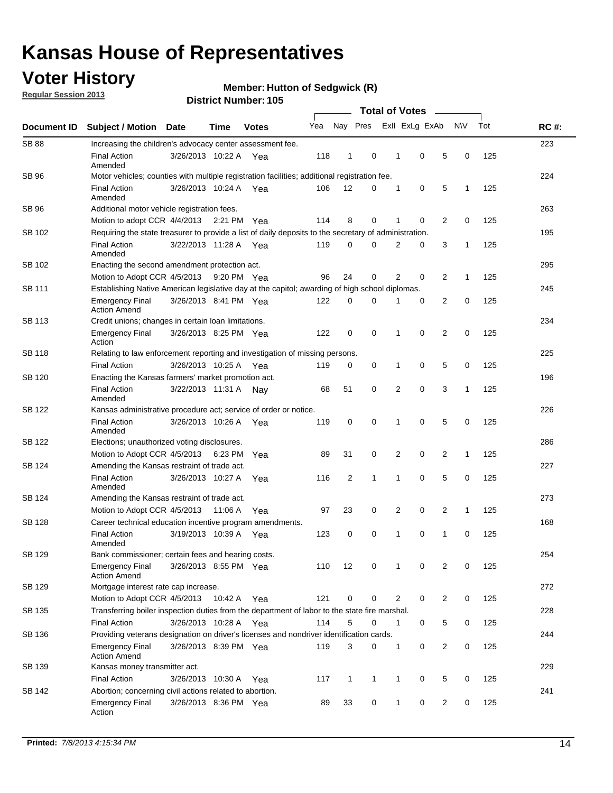### **Voter History**

**Regular Session 2013**

#### **Member: Hutton of Sedgwick (R)**

|                    |                                                                                                       | טטו דיסעוווואנו זעוווסוע<br><b>Total of Votes</b>                                              |             |              |     |              |              |  |                |                |                |              |     |             |
|--------------------|-------------------------------------------------------------------------------------------------------|------------------------------------------------------------------------------------------------|-------------|--------------|-----|--------------|--------------|--|----------------|----------------|----------------|--------------|-----|-------------|
| <b>Document ID</b> | <b>Subject / Motion</b>                                                                               | <b>Date</b>                                                                                    | <b>Time</b> | <b>Votes</b> | Yea |              | Nay Pres     |  |                | Exll ExLg ExAb |                | <b>NV</b>    | Tot | <b>RC#:</b> |
| <b>SB 88</b>       | Increasing the children's advocacy center assessment fee.                                             |                                                                                                |             |              |     |              |              |  |                |                |                |              |     | 223         |
|                    | <b>Final Action</b><br>Amended                                                                        | 3/26/2013 10:22 A Yea                                                                          |             |              | 118 | $\mathbf{1}$ | 0            |  | $\mathbf 1$    | 0              | 5              | 0            | 125 |             |
| SB 96              | Motor vehicles; counties with multiple registration facilities; additional registration fee.          |                                                                                                |             |              |     |              |              |  |                |                |                |              |     | 224         |
|                    | <b>Final Action</b><br>Amended                                                                        | 3/26/2013 10:24 A                                                                              |             | Yea          | 106 | 12           | 0            |  | 1              | 0              | 5              | 1            | 125 |             |
| SB 96              | Additional motor vehicle registration fees.                                                           |                                                                                                |             |              |     |              |              |  |                |                |                |              |     | 263         |
|                    | Motion to adopt CCR 4/4/2013                                                                          |                                                                                                | 2:21 PM Yea |              | 114 | 8            | 0            |  | 1              | 0              | $\overline{2}$ | 0            | 125 |             |
| SB 102             | Requiring the state treasurer to provide a list of daily deposits to the secretary of administration. |                                                                                                |             |              |     |              |              |  |                |                |                |              |     | 195         |
|                    | <b>Final Action</b><br>Amended                                                                        | 3/22/2013 11:28 A                                                                              |             | Yea          | 119 | 0            | 0            |  | 2              | 0              | 3              | 1            | 125 |             |
| SB 102             | Enacting the second amendment protection act.                                                         |                                                                                                |             |              |     |              |              |  |                |                |                |              |     | 295         |
|                    | Motion to Adopt CCR 4/5/2013                                                                          |                                                                                                | 9:20 PM Yea |              | 96  | 24           | 0            |  | $\overline{2}$ | 0              | $\overline{2}$ | 1            | 125 |             |
| SB 111             |                                                                                                       | Establishing Native American legislative day at the capitol; awarding of high school diplomas. |             |              |     |              |              |  |                |                |                |              | 245 |             |
|                    | <b>Emergency Final</b><br><b>Action Amend</b>                                                         | 3/26/2013 8:41 PM Yea                                                                          |             |              | 122 | 0            | $\Omega$     |  |                | 0              | $\overline{2}$ | 0            | 125 |             |
| SB 113             | Credit unions; changes in certain loan limitations.                                                   |                                                                                                |             |              |     |              |              |  |                |                |                |              |     | 234         |
|                    | <b>Emergency Final</b><br>Action                                                                      | 3/26/2013 8:25 PM Yea                                                                          |             |              | 122 | 0            | 0            |  | 1              | $\mathbf 0$    | $\overline{2}$ | 0            | 125 |             |
| <b>SB 118</b>      | Relating to law enforcement reporting and investigation of missing persons.                           |                                                                                                |             |              |     |              |              |  |                |                |                |              |     | 225         |
|                    | <b>Final Action</b>                                                                                   | 3/26/2013 10:25 A                                                                              |             | Yea          | 119 | 0            | 0            |  | 1              | 0              | 5              | 0            | 125 |             |
| SB 120             | Enacting the Kansas farmers' market promotion act.                                                    |                                                                                                |             |              |     |              |              |  |                |                |                |              |     | 196         |
|                    | <b>Final Action</b><br>Amended                                                                        | 3/22/2013 11:31 A                                                                              |             | Nav          | 68  | 51           | 0            |  | 2              | $\mathbf 0$    | 3              | 1            | 125 |             |
| SB 122             | Kansas administrative procedure act; service of order or notice.                                      |                                                                                                |             |              |     |              |              |  |                |                |                |              |     | 226         |
|                    | <b>Final Action</b><br>Amended                                                                        | 3/26/2013 10:26 A                                                                              |             | Yea          | 119 | 0            | 0            |  | 1              | 0              | 5              | 0            | 125 |             |
| SB 122             | Elections; unauthorized voting disclosures.                                                           |                                                                                                |             |              |     |              |              |  |                |                | 286            |              |     |             |
|                    | Motion to Adopt CCR 4/5/2013                                                                          |                                                                                                | 6:23 PM     | Yea          | 89  | 31           | 0            |  | 2              | 0              | $\overline{2}$ | $\mathbf{1}$ | 125 |             |
| SB 124             | Amending the Kansas restraint of trade act.                                                           |                                                                                                |             |              |     |              |              |  |                |                |                |              |     | 227         |
|                    | <b>Final Action</b><br>Amended                                                                        | 3/26/2013 10:27 A                                                                              |             | Yea          | 116 | 2            | 1            |  | 1              | $\mathbf 0$    | 5              | $\mathbf 0$  | 125 |             |
| SB 124             | Amending the Kansas restraint of trade act.                                                           |                                                                                                |             |              |     |              |              |  |                |                |                |              |     | 273         |
|                    | Motion to Adopt CCR 4/5/2013                                                                          |                                                                                                | 11:06 A     | Yea          | 97  | 23           | 0            |  | 2              | 0              | $\overline{2}$ | 1            | 125 |             |
| SB 128             | Career technical education incentive program amendments.                                              |                                                                                                |             |              |     |              |              |  |                |                |                |              |     | 168         |
|                    | <b>Final Action</b><br>Amended                                                                        | 3/19/2013 10:39 A                                                                              |             | Yea          | 123 | 0            | 0            |  | 1              | 0              | 1              | 0            | 125 |             |
| SB 129             | Bank commissioner; certain fees and hearing costs.                                                    |                                                                                                |             |              |     |              |              |  |                |                |                |              |     | 254         |
|                    | <b>Emergency Final</b><br><b>Action Amend</b>                                                         | 3/26/2013 8:55 PM Yea                                                                          |             |              | 110 | 12           | 0            |  | 1              | 0              | 2              | 0            | 125 |             |
| SB 129             | Mortgage interest rate cap increase.                                                                  |                                                                                                |             |              |     |              |              |  |                |                |                |              |     | 272         |
|                    | Motion to Adopt CCR 4/5/2013                                                                          |                                                                                                | 10:42 A Yea |              | 121 | 0            | 0            |  | 2              | 0              | $\overline{2}$ | 0            | 125 |             |
| SB 135             | Transferring boiler inspection duties from the department of labor to the state fire marshal.         |                                                                                                |             |              |     |              |              |  |                |                |                |              |     | 228         |
|                    | <b>Final Action</b>                                                                                   | 3/26/2013 10:28 A Yea                                                                          |             |              | 114 | 5            | 0            |  | $\mathbf{1}$   | 0              | 5              | 0            | 125 |             |
| SB 136             | Providing veterans designation on driver's licenses and nondriver identification cards.               |                                                                                                |             |              |     |              |              |  |                |                |                |              |     | 244         |
|                    | <b>Emergency Final</b><br><b>Action Amend</b>                                                         | 3/26/2013 8:39 PM Yea                                                                          |             |              | 119 | 3            | 0            |  | $\mathbf{1}$   | 0              | $\overline{2}$ | 0            | 125 |             |
| SB 139             | Kansas money transmitter act.                                                                         |                                                                                                |             |              |     |              |              |  |                |                |                |              |     | 229         |
|                    | <b>Final Action</b>                                                                                   | 3/26/2013 10:30 A Yea                                                                          |             |              | 117 | $\mathbf{1}$ | $\mathbf{1}$ |  | $\mathbf{1}$   | $\mathbf 0$    | 5              | 0            | 125 |             |
| SB 142             | Abortion; concerning civil actions related to abortion.                                               |                                                                                                |             |              |     |              |              |  |                |                |                |              |     | 241         |
|                    | <b>Emergency Final</b><br>Action                                                                      | 3/26/2013 8:36 PM Yea                                                                          |             |              | 89  | 33           | 0            |  | 1              | 0              | $\overline{2}$ | $\mathbf 0$  | 125 |             |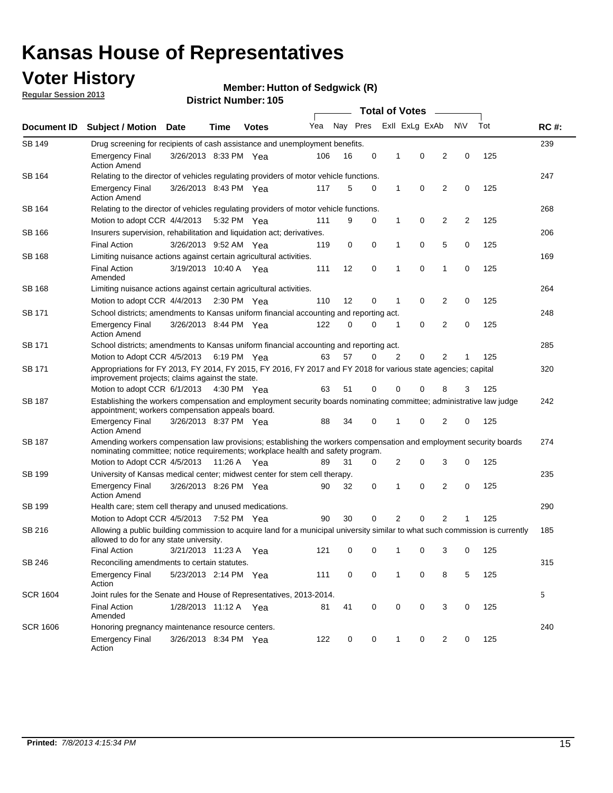### **Voter History**

**Regular Session 2013**

#### **Member: Hutton of Sedgwick (R)**

|                 |                                                                                                                                                                                                       |                                                                                                                                                                   |             |                       | <b>Total of Votes</b> |          |   |                |                |                |           |     |             |  |  |  |  |  |  |
|-----------------|-------------------------------------------------------------------------------------------------------------------------------------------------------------------------------------------------------|-------------------------------------------------------------------------------------------------------------------------------------------------------------------|-------------|-----------------------|-----------------------|----------|---|----------------|----------------|----------------|-----------|-----|-------------|--|--|--|--|--|--|
| Document ID     | <b>Subject / Motion Date</b>                                                                                                                                                                          |                                                                                                                                                                   | Time        | <b>Votes</b>          | Yea                   | Nay Pres |   |                | Exll ExLg ExAb |                | <b>NV</b> | Tot | <b>RC#:</b> |  |  |  |  |  |  |
| SB 149          | Drug screening for recipients of cash assistance and unemployment benefits.                                                                                                                           |                                                                                                                                                                   |             |                       |                       |          |   |                |                |                |           |     | 239         |  |  |  |  |  |  |
|                 | <b>Emergency Final</b><br><b>Action Amend</b>                                                                                                                                                         | 3/26/2013 8:33 PM Yea                                                                                                                                             |             |                       | 106                   | 16       | 0 | 1              | 0              | 2              | 0         | 125 |             |  |  |  |  |  |  |
| SB 164          | Relating to the director of vehicles regulating providers of motor vehicle functions.                                                                                                                 |                                                                                                                                                                   |             |                       |                       |          |   |                |                |                |           |     | 247         |  |  |  |  |  |  |
|                 | <b>Emergency Final</b><br><b>Action Amend</b>                                                                                                                                                         | 3/26/2013 8:43 PM Yea                                                                                                                                             |             |                       | 117                   | 5        | 0 | 1              | 0              | $\overline{2}$ | 0         | 125 |             |  |  |  |  |  |  |
| SB 164          | Relating to the director of vehicles regulating providers of motor vehicle functions.                                                                                                                 |                                                                                                                                                                   |             |                       |                       |          |   |                |                |                |           |     | 268         |  |  |  |  |  |  |
|                 | Motion to adopt CCR 4/4/2013 5:32 PM Yea                                                                                                                                                              |                                                                                                                                                                   |             |                       | 111                   | 9        | 0 | 1              | 0              | $\overline{2}$ | 2         | 125 |             |  |  |  |  |  |  |
| SB 166          | Insurers supervision, rehabilitation and liquidation act; derivatives.                                                                                                                                |                                                                                                                                                                   |             |                       |                       |          |   |                |                |                |           |     | 206         |  |  |  |  |  |  |
|                 | <b>Final Action</b>                                                                                                                                                                                   | 3/26/2013 9:52 AM Yea                                                                                                                                             |             |                       | 119                   | 0        | 0 | 1              | 0              | 5              | 0         | 125 |             |  |  |  |  |  |  |
| SB 168          | Limiting nuisance actions against certain agricultural activities.                                                                                                                                    |                                                                                                                                                                   |             |                       |                       |          |   |                |                |                |           |     | 169         |  |  |  |  |  |  |
|                 | <b>Final Action</b><br>Amended                                                                                                                                                                        | 3/19/2013 10:40 A Yea                                                                                                                                             |             |                       | 111                   | 12       | 0 | 1              | 0              | 1              | 0         | 125 |             |  |  |  |  |  |  |
| <b>SB 168</b>   | Limiting nuisance actions against certain agricultural activities.                                                                                                                                    |                                                                                                                                                                   |             |                       |                       |          |   |                |                |                |           |     | 264         |  |  |  |  |  |  |
|                 | Motion to adopt CCR 4/4/2013                                                                                                                                                                          |                                                                                                                                                                   |             | $2:30 \text{ PM}$ Yea | 110                   | 12       | 0 | 1              | 0              | 2              | 0         | 125 |             |  |  |  |  |  |  |
| SB 171          | School districts; amendments to Kansas uniform financial accounting and reporting act.                                                                                                                |                                                                                                                                                                   |             |                       |                       |          |   |                |                |                |           |     | 248         |  |  |  |  |  |  |
|                 | <b>Emergency Final</b><br><b>Action Amend</b>                                                                                                                                                         | 3/26/2013 8:44 PM Yea                                                                                                                                             |             |                       | 122                   | 0        | 0 | 1              | 0              | $\overline{2}$ | 0         | 125 |             |  |  |  |  |  |  |
| SB 171          | School districts; amendments to Kansas uniform financial accounting and reporting act.                                                                                                                |                                                                                                                                                                   |             |                       |                       |          |   |                |                |                |           |     | 285         |  |  |  |  |  |  |
|                 | Motion to Adopt CCR 4/5/2013 6:19 PM Yea                                                                                                                                                              |                                                                                                                                                                   |             |                       | 63                    | 57       | 0 | 2              | 0              | 2              | 1         | 125 |             |  |  |  |  |  |  |
| SB 171          |                                                                                                                                                                                                       | Appropriations for FY 2013, FY 2014, FY 2015, FY 2016, FY 2017 and FY 2018 for various state agencies; capital<br>improvement projects; claims against the state. |             |                       |                       |          |   |                |                | 320            |           |     |             |  |  |  |  |  |  |
|                 | Motion to adopt CCR 6/1/2013 4:30 PM Yea                                                                                                                                                              |                                                                                                                                                                   |             |                       | 63                    | 51       | 0 | 0              | 0              | 8              | 3         | 125 |             |  |  |  |  |  |  |
| SB 187          | Establishing the workers compensation and employment security boards nominating committee; administrative law judge<br>appointment; workers compensation appeals board.                               |                                                                                                                                                                   |             |                       |                       |          |   |                |                |                |           | 242 |             |  |  |  |  |  |  |
|                 | <b>Emergency Final</b><br><b>Action Amend</b>                                                                                                                                                         | 3/26/2013 8:37 PM Yea                                                                                                                                             |             |                       | 88                    | 34       | 0 | 1              | 0              | 2              | 0         | 125 |             |  |  |  |  |  |  |
| SB 187          | Amending workers compensation law provisions; establishing the workers compensation and employment security boards<br>nominating committee; notice requirements; workplace health and safety program. |                                                                                                                                                                   |             |                       |                       |          |   |                |                |                |           | 274 |             |  |  |  |  |  |  |
|                 | Motion to Adopt CCR 4/5/2013 11:26 A Yea                                                                                                                                                              |                                                                                                                                                                   |             |                       | 89                    | 31       | 0 | 2              | 0              | 3              | 0         | 125 |             |  |  |  |  |  |  |
| SB 199          | University of Kansas medical center; midwest center for stem cell therapy.                                                                                                                            |                                                                                                                                                                   |             |                       |                       |          |   |                |                |                |           |     | 235         |  |  |  |  |  |  |
|                 | <b>Emergency Final</b><br><b>Action Amend</b>                                                                                                                                                         | 3/26/2013 8:26 PM Yea                                                                                                                                             |             |                       | 90                    | 32       | 0 | 1              | 0              | 2              | 0         | 125 |             |  |  |  |  |  |  |
| SB 199          | Health care; stem cell therapy and unused medications.                                                                                                                                                |                                                                                                                                                                   |             |                       |                       |          |   |                |                |                |           |     | 290         |  |  |  |  |  |  |
|                 | Motion to Adopt CCR 4/5/2013                                                                                                                                                                          |                                                                                                                                                                   | 7:52 PM Yea |                       | 90                    | 30       | 0 | $\overline{2}$ | 0              | 2              | 1         | 125 |             |  |  |  |  |  |  |
| SB 216          | Allowing a public building commission to acquire land for a municipal university similar to what such commission is currently<br>allowed to do for any state university.                              |                                                                                                                                                                   |             |                       |                       |          |   |                |                |                |           |     | 185         |  |  |  |  |  |  |
|                 | <b>Final Action</b>                                                                                                                                                                                   | 3/21/2013 11:23 A                                                                                                                                                 |             | Yea                   | 121                   | 0        | 0 | 1              | 0              | 3              | 0         | 125 |             |  |  |  |  |  |  |
| SB 246          | Reconciling amendments to certain statutes.                                                                                                                                                           |                                                                                                                                                                   |             |                       |                       |          |   |                |                |                |           |     | 315         |  |  |  |  |  |  |
|                 | <b>Emergency Final</b><br>Action                                                                                                                                                                      | 5/23/2013 2:14 PM Yea                                                                                                                                             |             |                       | 111                   | 0        | 0 | 1              | 0              | 8              | 5         | 125 |             |  |  |  |  |  |  |
| <b>SCR 1604</b> | Joint rules for the Senate and House of Representatives, 2013-2014.                                                                                                                                   |                                                                                                                                                                   |             |                       |                       |          |   |                |                |                |           |     | 5           |  |  |  |  |  |  |
|                 | <b>Final Action</b><br>Amended                                                                                                                                                                        | 1/28/2013 11:12 A Yea                                                                                                                                             |             |                       | 81                    | 41       | 0 | 0              | 0              | 3              | 0         | 125 |             |  |  |  |  |  |  |
| <b>SCR 1606</b> | Honoring pregnancy maintenance resource centers.                                                                                                                                                      |                                                                                                                                                                   |             |                       |                       |          |   |                |                |                |           |     | 240         |  |  |  |  |  |  |
|                 | <b>Emergency Final</b><br>Action                                                                                                                                                                      | 3/26/2013 8:34 PM Yea                                                                                                                                             |             |                       | 122                   | 0        | 0 | 1              | $\mathbf 0$    | $\overline{2}$ | 0         | 125 |             |  |  |  |  |  |  |